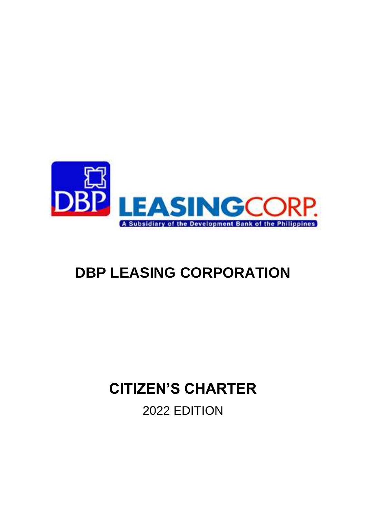

# **DBP LEASING CORPORATION**

# **CITIZEN'S CHARTER**

2022 EDITION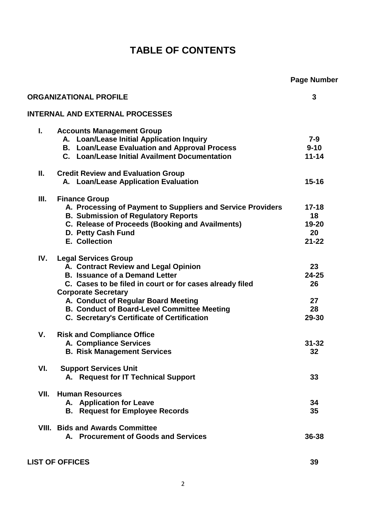# **TABLE OF CONTENTS**

|      |                                                                                                                                                                                                                                                                                                                                                    | <b>Page Number</b>                          |
|------|----------------------------------------------------------------------------------------------------------------------------------------------------------------------------------------------------------------------------------------------------------------------------------------------------------------------------------------------------|---------------------------------------------|
|      | <b>ORGANIZATIONAL PROFILE</b>                                                                                                                                                                                                                                                                                                                      | 3                                           |
|      | <b>INTERNAL AND EXTERNAL PROCESSES</b>                                                                                                                                                                                                                                                                                                             |                                             |
| L.   | <b>Accounts Management Group</b><br>A. Loan/Lease Initial Application Inquiry<br><b>B. Loan/Lease Evaluation and Approval Process</b><br>C. Loan/Lease Initial Availment Documentation                                                                                                                                                             | $7 - 9$<br>$9 - 10$<br>$11 - 14$            |
| Ш.   | <b>Credit Review and Evaluation Group</b><br>A. Loan/Lease Application Evaluation                                                                                                                                                                                                                                                                  | $15 - 16$                                   |
| III. | <b>Finance Group</b><br>A. Processing of Payment to Suppliers and Service Providers<br><b>B. Submission of Regulatory Reports</b><br>C. Release of Proceeds (Booking and Availments)<br>D. Petty Cash Fund<br><b>E. Collection</b>                                                                                                                 | $17 - 18$<br>18<br>19-20<br>20<br>$21 - 22$ |
| IV.  | <b>Legal Services Group</b><br>A. Contract Review and Legal Opinion<br><b>B. Issuance of a Demand Letter</b><br>C. Cases to be filed in court or for cases already filed<br><b>Corporate Secretary</b><br>A. Conduct of Regular Board Meeting<br><b>B. Conduct of Board-Level Committee Meeting</b><br>C. Secretary's Certificate of Certification | 23<br>$24 - 25$<br>26<br>27<br>28<br>29-30  |
| ۷.   | <b>Risk and Compliance Office</b><br>A. Compliance Services<br><b>B. Risk Management Services</b>                                                                                                                                                                                                                                                  | $31 - 32$<br>32                             |
| VI.  | <b>Support Services Unit</b><br>A. Request for IT Technical Support                                                                                                                                                                                                                                                                                | 33                                          |
| VII. | <b>Human Resources</b><br>A. Application for Leave<br><b>B.</b> Request for Employee Records                                                                                                                                                                                                                                                       | 34<br>35                                    |
|      | <b>VIII. Bids and Awards Committee</b><br>A. Procurement of Goods and Services                                                                                                                                                                                                                                                                     | 36-38                                       |

**LIST OF OFFICES 39**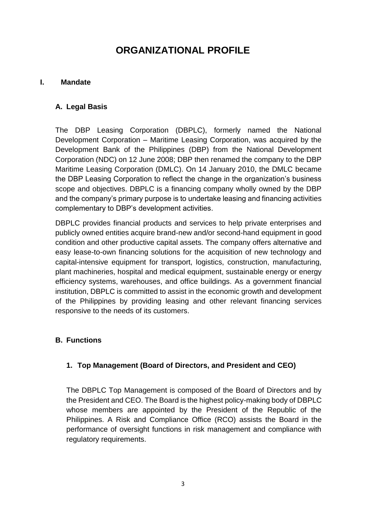# **ORGANIZATIONAL PROFILE**

#### **I. Mandate**

#### **A. Legal Basis**

The DBP Leasing Corporation (DBPLC), formerly named the National Development Corporation – Maritime Leasing Corporation, was acquired by the Development Bank of the Philippines (DBP) from the National Development Corporation (NDC) on 12 June 2008; DBP then renamed the company to the DBP Maritime Leasing Corporation (DMLC). On 14 January 2010, the DMLC became the DBP Leasing Corporation to reflect the change in the organization's business scope and objectives. DBPLC is a financing company wholly owned by the DBP and the company's primary purpose is to undertake leasing and financing activities complementary to DBP's development activities.

DBPLC provides financial products and services to help private enterprises and publicly owned entities acquire brand-new and/or second-hand equipment in good condition and other productive capital assets. The company offers alternative and easy lease-to-own financing solutions for the acquisition of new technology and capital-intensive equipment for transport, logistics, construction, manufacturing, plant machineries, hospital and medical equipment, sustainable energy or energy efficiency systems, warehouses, and office buildings. As a government financial institution, DBPLC is committed to assist in the economic growth and development of the Philippines by providing leasing and other relevant financing services responsive to the needs of its customers.

#### **B. Functions**

#### **1. Top Management (Board of Directors, and President and CEO)**

The DBPLC Top Management is composed of the Board of Directors and by the President and CEO. The Board is the highest policy-making body of DBPLC whose members are appointed by the President of the Republic of the Philippines. A Risk and Compliance Office (RCO) assists the Board in the performance of oversight functions in risk management and compliance with regulatory requirements.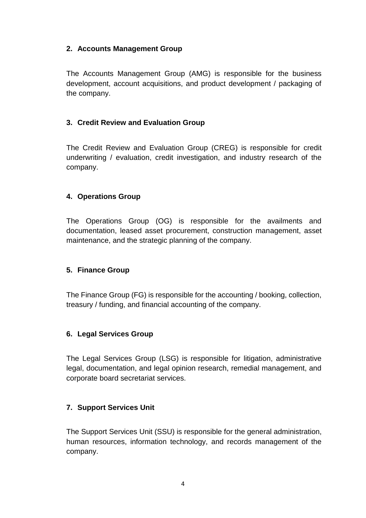#### **2. Accounts Management Group**

The Accounts Management Group (AMG) is responsible for the business development, account acquisitions, and product development / packaging of the company.

#### **3. Credit Review and Evaluation Group**

The Credit Review and Evaluation Group (CREG) is responsible for credit underwriting / evaluation, credit investigation, and industry research of the company.

#### **4. Operations Group**

The Operations Group (OG) is responsible for the availments and documentation, leased asset procurement, construction management, asset maintenance, and the strategic planning of the company.

#### **5. Finance Group**

The Finance Group (FG) is responsible for the accounting / booking, collection, treasury / funding, and financial accounting of the company.

#### **6. Legal Services Group**

The Legal Services Group (LSG) is responsible for litigation, administrative legal, documentation, and legal opinion research, remedial management, and corporate board secretariat services.

#### **7. Support Services Unit**

The Support Services Unit (SSU) is responsible for the general administration, human resources, information technology, and records management of the company.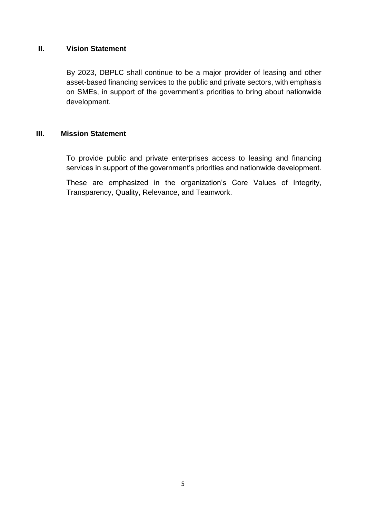#### **II. Vision Statement**

By 2023, DBPLC shall continue to be a major provider of leasing and other asset-based financing services to the public and private sectors, with emphasis on SMEs, in support of the government's priorities to bring about nationwide development.

#### **III. Mission Statement**

To provide public and private enterprises access to leasing and financing services in support of the government's priorities and nationwide development.

These are emphasized in the organization's Core Values of Integrity, Transparency, Quality, Relevance, and Teamwork.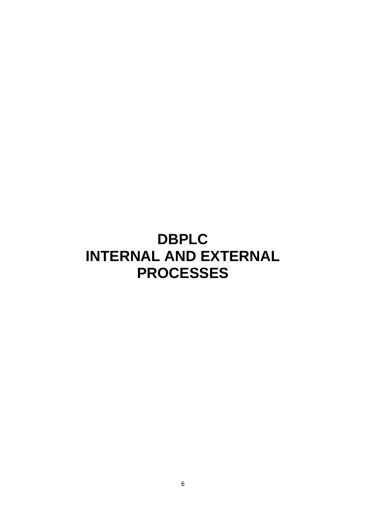# **DBPLC INTERNAL AND EXTERNAL PROCESSES**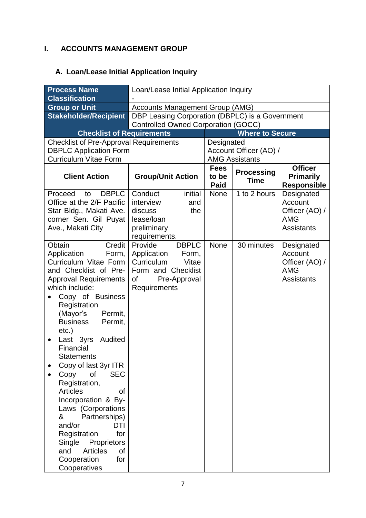# **I. ACCOUNTS MANAGEMENT GROUP**

# **A. Loan/Lease Initial Application Inquiry**

| <b>Process Name</b>                                           | Loan/Lease Initial Application Inquiry          |               |                                                 |                                        |  |
|---------------------------------------------------------------|-------------------------------------------------|---------------|-------------------------------------------------|----------------------------------------|--|
| <b>Classification</b>                                         |                                                 |               |                                                 |                                        |  |
| <b>Group or Unit</b>                                          | <b>Accounts Management Group (AMG)</b>          |               |                                                 |                                        |  |
| <b>Stakeholder/Recipient</b>                                  | DBP Leasing Corporation (DBPLC) is a Government |               |                                                 |                                        |  |
|                                                               | <b>Controlled Owned Corporation (GOCC)</b>      |               |                                                 |                                        |  |
| <b>Checklist of Requirements</b>                              |                                                 |               | <b>Where to Secure</b>                          |                                        |  |
| <b>Checklist of Pre-Approval Requirements</b>                 |                                                 | Designated    |                                                 |                                        |  |
| <b>DBPLC Application Form</b><br><b>Curriculum Vitae Form</b> |                                                 |               | Account Officer (AO) /<br><b>AMG Assistants</b> |                                        |  |
|                                                               |                                                 | <b>Fees</b>   |                                                 | <b>Officer</b>                         |  |
| <b>Client Action</b>                                          | <b>Group/Unit Action</b>                        | to be<br>Paid | <b>Processing</b><br><b>Time</b>                | <b>Primarily</b><br><b>Responsible</b> |  |
| <b>DBPLC</b><br>Proceed<br>to                                 | initial<br>Conduct                              | <b>None</b>   | 1 to 2 hours                                    | Designated                             |  |
| Office at the 2/F Pacific                                     | interview<br>and                                |               |                                                 | Account                                |  |
| Star Bldg., Makati Ave.                                       | discuss<br>the                                  |               |                                                 | Officer (AO) /                         |  |
| corner Sen. Gil Puyat                                         | lease/loan                                      |               |                                                 | <b>AMG</b>                             |  |
| Ave., Makati City                                             | preliminary<br>requirements.                    |               |                                                 | <b>Assistants</b>                      |  |
| Obtain<br>Credit                                              | Provide<br><b>DBPLC</b>                         | None          | 30 minutes                                      | Designated                             |  |
| Application<br>Form,                                          | Application<br>Form,                            |               |                                                 | Account                                |  |
| Curriculum Vitae Form                                         | Curriculum<br>Vitae                             |               |                                                 | Officer (AO) /                         |  |
| and Checklist of Pre-                                         | Form and Checklist                              |               |                                                 | <b>AMG</b>                             |  |
| <b>Approval Requirements</b>                                  | οf<br>Pre-Approval                              |               |                                                 | <b>Assistants</b>                      |  |
| which include:                                                | Requirements                                    |               |                                                 |                                        |  |
| Copy of Business                                              |                                                 |               |                                                 |                                        |  |
| Registration                                                  |                                                 |               |                                                 |                                        |  |
| Permit,<br>(Mayor's<br><b>Business</b>                        |                                                 |               |                                                 |                                        |  |
| Permit,<br>$etc.$ )                                           |                                                 |               |                                                 |                                        |  |
| Last 3yrs<br>Audited<br>$\bullet$                             |                                                 |               |                                                 |                                        |  |
| Financial                                                     |                                                 |               |                                                 |                                        |  |
| <b>Statements</b>                                             |                                                 |               |                                                 |                                        |  |
| Copy of last 3yr ITR                                          |                                                 |               |                                                 |                                        |  |
| Copy<br><b>of</b><br><b>SEC</b>                               |                                                 |               |                                                 |                                        |  |
| Registration,                                                 |                                                 |               |                                                 |                                        |  |
| <b>Articles</b><br>οf                                         |                                                 |               |                                                 |                                        |  |
| Incorporation & By-                                           |                                                 |               |                                                 |                                        |  |
| Laws (Corporations                                            |                                                 |               |                                                 |                                        |  |
| Partnerships)<br>&<br>and/or<br>DTI                           |                                                 |               |                                                 |                                        |  |
| Registration<br>for                                           |                                                 |               |                                                 |                                        |  |
| Single Proprietors                                            |                                                 |               |                                                 |                                        |  |
| <b>Articles</b><br>and<br>οf                                  |                                                 |               |                                                 |                                        |  |
| Cooperation<br>for                                            |                                                 |               |                                                 |                                        |  |
| Cooperatives                                                  |                                                 |               |                                                 |                                        |  |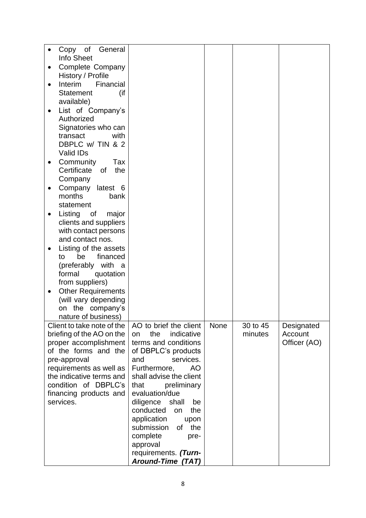| Info Sheet<br><b>Complete Company</b><br>History / Profile<br>Interim<br>Financial<br><b>Statement</b><br>(if<br>available)<br>List of Company's<br>Authorized<br>Signatories who can<br>transact<br>with<br>DBPLC w/ TIN & 2<br>Valid IDs<br>Community<br>Tax<br>Certificate<br>0f<br>the<br>Company<br>Company<br>latest 6<br>months<br>bank<br>statement<br>Listing<br>major<br>0f<br>clients and suppliers<br>with contact persons<br>and contact nos.<br>Listing of the assets<br>$\bullet$<br>be<br>financed<br>to<br>(preferably with a<br>formal<br>quotation<br>from suppliers)<br><b>Other Requirements</b><br>(will vary depending<br>on the company's<br>nature of business)<br>Client to take note of the<br>AO to brief the client<br>None<br>30 to 45<br>Designated<br>briefing of the AO on the<br>the<br>indicative<br>minutes<br>Account<br>on<br>Officer (AO)<br>terms and conditions<br>proper accomplishment<br>of the forms and the<br>of DBPLC's products<br>services.<br>pre-approval<br>and<br>requirements as well as<br>Furthermore,<br>AO<br>the indicative terms and<br>shall advise the client<br>condition of DBPLC's<br>that<br>preliminary<br>financing products and<br>evaluation/due<br>services.<br>diligence<br>shall<br>be<br>conducted<br>on<br>the<br>application<br>upon<br>submission<br>the<br>of<br>complete<br>pre-<br>approval<br>requirements. (Turn- |                 |  |  |
|------------------------------------------------------------------------------------------------------------------------------------------------------------------------------------------------------------------------------------------------------------------------------------------------------------------------------------------------------------------------------------------------------------------------------------------------------------------------------------------------------------------------------------------------------------------------------------------------------------------------------------------------------------------------------------------------------------------------------------------------------------------------------------------------------------------------------------------------------------------------------------------------------------------------------------------------------------------------------------------------------------------------------------------------------------------------------------------------------------------------------------------------------------------------------------------------------------------------------------------------------------------------------------------------------------------------------------------------------------------------------------------------------|-----------------|--|--|
|                                                                                                                                                                                                                                                                                                                                                                                                                                                                                                                                                                                                                                                                                                                                                                                                                                                                                                                                                                                                                                                                                                                                                                                                                                                                                                                                                                                                      | Copy of General |  |  |
|                                                                                                                                                                                                                                                                                                                                                                                                                                                                                                                                                                                                                                                                                                                                                                                                                                                                                                                                                                                                                                                                                                                                                                                                                                                                                                                                                                                                      |                 |  |  |
|                                                                                                                                                                                                                                                                                                                                                                                                                                                                                                                                                                                                                                                                                                                                                                                                                                                                                                                                                                                                                                                                                                                                                                                                                                                                                                                                                                                                      |                 |  |  |
|                                                                                                                                                                                                                                                                                                                                                                                                                                                                                                                                                                                                                                                                                                                                                                                                                                                                                                                                                                                                                                                                                                                                                                                                                                                                                                                                                                                                      |                 |  |  |
|                                                                                                                                                                                                                                                                                                                                                                                                                                                                                                                                                                                                                                                                                                                                                                                                                                                                                                                                                                                                                                                                                                                                                                                                                                                                                                                                                                                                      |                 |  |  |
|                                                                                                                                                                                                                                                                                                                                                                                                                                                                                                                                                                                                                                                                                                                                                                                                                                                                                                                                                                                                                                                                                                                                                                                                                                                                                                                                                                                                      |                 |  |  |
|                                                                                                                                                                                                                                                                                                                                                                                                                                                                                                                                                                                                                                                                                                                                                                                                                                                                                                                                                                                                                                                                                                                                                                                                                                                                                                                                                                                                      |                 |  |  |
|                                                                                                                                                                                                                                                                                                                                                                                                                                                                                                                                                                                                                                                                                                                                                                                                                                                                                                                                                                                                                                                                                                                                                                                                                                                                                                                                                                                                      |                 |  |  |
|                                                                                                                                                                                                                                                                                                                                                                                                                                                                                                                                                                                                                                                                                                                                                                                                                                                                                                                                                                                                                                                                                                                                                                                                                                                                                                                                                                                                      |                 |  |  |
|                                                                                                                                                                                                                                                                                                                                                                                                                                                                                                                                                                                                                                                                                                                                                                                                                                                                                                                                                                                                                                                                                                                                                                                                                                                                                                                                                                                                      |                 |  |  |
|                                                                                                                                                                                                                                                                                                                                                                                                                                                                                                                                                                                                                                                                                                                                                                                                                                                                                                                                                                                                                                                                                                                                                                                                                                                                                                                                                                                                      |                 |  |  |
|                                                                                                                                                                                                                                                                                                                                                                                                                                                                                                                                                                                                                                                                                                                                                                                                                                                                                                                                                                                                                                                                                                                                                                                                                                                                                                                                                                                                      |                 |  |  |
|                                                                                                                                                                                                                                                                                                                                                                                                                                                                                                                                                                                                                                                                                                                                                                                                                                                                                                                                                                                                                                                                                                                                                                                                                                                                                                                                                                                                      |                 |  |  |
|                                                                                                                                                                                                                                                                                                                                                                                                                                                                                                                                                                                                                                                                                                                                                                                                                                                                                                                                                                                                                                                                                                                                                                                                                                                                                                                                                                                                      |                 |  |  |
|                                                                                                                                                                                                                                                                                                                                                                                                                                                                                                                                                                                                                                                                                                                                                                                                                                                                                                                                                                                                                                                                                                                                                                                                                                                                                                                                                                                                      |                 |  |  |
|                                                                                                                                                                                                                                                                                                                                                                                                                                                                                                                                                                                                                                                                                                                                                                                                                                                                                                                                                                                                                                                                                                                                                                                                                                                                                                                                                                                                      |                 |  |  |
|                                                                                                                                                                                                                                                                                                                                                                                                                                                                                                                                                                                                                                                                                                                                                                                                                                                                                                                                                                                                                                                                                                                                                                                                                                                                                                                                                                                                      |                 |  |  |
|                                                                                                                                                                                                                                                                                                                                                                                                                                                                                                                                                                                                                                                                                                                                                                                                                                                                                                                                                                                                                                                                                                                                                                                                                                                                                                                                                                                                      |                 |  |  |
|                                                                                                                                                                                                                                                                                                                                                                                                                                                                                                                                                                                                                                                                                                                                                                                                                                                                                                                                                                                                                                                                                                                                                                                                                                                                                                                                                                                                      |                 |  |  |
|                                                                                                                                                                                                                                                                                                                                                                                                                                                                                                                                                                                                                                                                                                                                                                                                                                                                                                                                                                                                                                                                                                                                                                                                                                                                                                                                                                                                      |                 |  |  |
|                                                                                                                                                                                                                                                                                                                                                                                                                                                                                                                                                                                                                                                                                                                                                                                                                                                                                                                                                                                                                                                                                                                                                                                                                                                                                                                                                                                                      |                 |  |  |
|                                                                                                                                                                                                                                                                                                                                                                                                                                                                                                                                                                                                                                                                                                                                                                                                                                                                                                                                                                                                                                                                                                                                                                                                                                                                                                                                                                                                      |                 |  |  |
|                                                                                                                                                                                                                                                                                                                                                                                                                                                                                                                                                                                                                                                                                                                                                                                                                                                                                                                                                                                                                                                                                                                                                                                                                                                                                                                                                                                                      |                 |  |  |
|                                                                                                                                                                                                                                                                                                                                                                                                                                                                                                                                                                                                                                                                                                                                                                                                                                                                                                                                                                                                                                                                                                                                                                                                                                                                                                                                                                                                      |                 |  |  |
|                                                                                                                                                                                                                                                                                                                                                                                                                                                                                                                                                                                                                                                                                                                                                                                                                                                                                                                                                                                                                                                                                                                                                                                                                                                                                                                                                                                                      |                 |  |  |
|                                                                                                                                                                                                                                                                                                                                                                                                                                                                                                                                                                                                                                                                                                                                                                                                                                                                                                                                                                                                                                                                                                                                                                                                                                                                                                                                                                                                      |                 |  |  |
|                                                                                                                                                                                                                                                                                                                                                                                                                                                                                                                                                                                                                                                                                                                                                                                                                                                                                                                                                                                                                                                                                                                                                                                                                                                                                                                                                                                                      |                 |  |  |
|                                                                                                                                                                                                                                                                                                                                                                                                                                                                                                                                                                                                                                                                                                                                                                                                                                                                                                                                                                                                                                                                                                                                                                                                                                                                                                                                                                                                      |                 |  |  |
|                                                                                                                                                                                                                                                                                                                                                                                                                                                                                                                                                                                                                                                                                                                                                                                                                                                                                                                                                                                                                                                                                                                                                                                                                                                                                                                                                                                                      |                 |  |  |
|                                                                                                                                                                                                                                                                                                                                                                                                                                                                                                                                                                                                                                                                                                                                                                                                                                                                                                                                                                                                                                                                                                                                                                                                                                                                                                                                                                                                      |                 |  |  |
|                                                                                                                                                                                                                                                                                                                                                                                                                                                                                                                                                                                                                                                                                                                                                                                                                                                                                                                                                                                                                                                                                                                                                                                                                                                                                                                                                                                                      |                 |  |  |
|                                                                                                                                                                                                                                                                                                                                                                                                                                                                                                                                                                                                                                                                                                                                                                                                                                                                                                                                                                                                                                                                                                                                                                                                                                                                                                                                                                                                      |                 |  |  |
|                                                                                                                                                                                                                                                                                                                                                                                                                                                                                                                                                                                                                                                                                                                                                                                                                                                                                                                                                                                                                                                                                                                                                                                                                                                                                                                                                                                                      |                 |  |  |
|                                                                                                                                                                                                                                                                                                                                                                                                                                                                                                                                                                                                                                                                                                                                                                                                                                                                                                                                                                                                                                                                                                                                                                                                                                                                                                                                                                                                      |                 |  |  |
|                                                                                                                                                                                                                                                                                                                                                                                                                                                                                                                                                                                                                                                                                                                                                                                                                                                                                                                                                                                                                                                                                                                                                                                                                                                                                                                                                                                                      |                 |  |  |
|                                                                                                                                                                                                                                                                                                                                                                                                                                                                                                                                                                                                                                                                                                                                                                                                                                                                                                                                                                                                                                                                                                                                                                                                                                                                                                                                                                                                      |                 |  |  |
|                                                                                                                                                                                                                                                                                                                                                                                                                                                                                                                                                                                                                                                                                                                                                                                                                                                                                                                                                                                                                                                                                                                                                                                                                                                                                                                                                                                                      |                 |  |  |
|                                                                                                                                                                                                                                                                                                                                                                                                                                                                                                                                                                                                                                                                                                                                                                                                                                                                                                                                                                                                                                                                                                                                                                                                                                                                                                                                                                                                      |                 |  |  |
|                                                                                                                                                                                                                                                                                                                                                                                                                                                                                                                                                                                                                                                                                                                                                                                                                                                                                                                                                                                                                                                                                                                                                                                                                                                                                                                                                                                                      |                 |  |  |
|                                                                                                                                                                                                                                                                                                                                                                                                                                                                                                                                                                                                                                                                                                                                                                                                                                                                                                                                                                                                                                                                                                                                                                                                                                                                                                                                                                                                      |                 |  |  |
|                                                                                                                                                                                                                                                                                                                                                                                                                                                                                                                                                                                                                                                                                                                                                                                                                                                                                                                                                                                                                                                                                                                                                                                                                                                                                                                                                                                                      |                 |  |  |
|                                                                                                                                                                                                                                                                                                                                                                                                                                                                                                                                                                                                                                                                                                                                                                                                                                                                                                                                                                                                                                                                                                                                                                                                                                                                                                                                                                                                      |                 |  |  |
|                                                                                                                                                                                                                                                                                                                                                                                                                                                                                                                                                                                                                                                                                                                                                                                                                                                                                                                                                                                                                                                                                                                                                                                                                                                                                                                                                                                                      |                 |  |  |
|                                                                                                                                                                                                                                                                                                                                                                                                                                                                                                                                                                                                                                                                                                                                                                                                                                                                                                                                                                                                                                                                                                                                                                                                                                                                                                                                                                                                      |                 |  |  |
| <b>Around-Time (TAT)</b>                                                                                                                                                                                                                                                                                                                                                                                                                                                                                                                                                                                                                                                                                                                                                                                                                                                                                                                                                                                                                                                                                                                                                                                                                                                                                                                                                                             |                 |  |  |
|                                                                                                                                                                                                                                                                                                                                                                                                                                                                                                                                                                                                                                                                                                                                                                                                                                                                                                                                                                                                                                                                                                                                                                                                                                                                                                                                                                                                      |                 |  |  |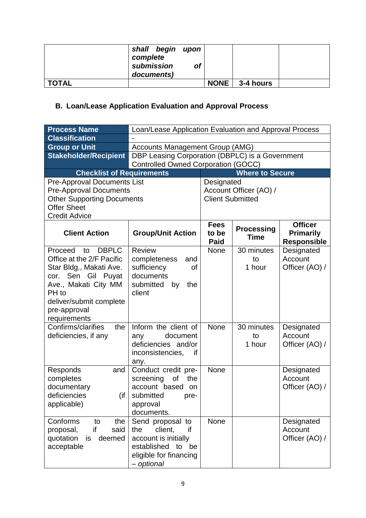|         | shall begin<br>complete<br>submission<br>documents) | upon<br><b>of</b> |             |           |  |
|---------|-----------------------------------------------------|-------------------|-------------|-----------|--|
| ' TOTAL |                                                     |                   | <b>NONE</b> | 3-4 hours |  |

# **B. Loan/Lease Application Evaluation and Approval Process**

| <b>Process Name</b>                        | Loan/Lease Application Evaluation and Approval Process |                                                 |                                  |                                        |
|--------------------------------------------|--------------------------------------------------------|-------------------------------------------------|----------------------------------|----------------------------------------|
| <b>Classification</b>                      |                                                        |                                                 |                                  |                                        |
| <b>Group or Unit</b>                       | <b>Accounts Management Group (AMG)</b>                 |                                                 |                                  |                                        |
| <b>Stakeholder/Recipient</b>               |                                                        | DBP Leasing Corporation (DBPLC) is a Government |                                  |                                        |
|                                            | <b>Controlled Owned Corporation (GOCC)</b>             |                                                 |                                  |                                        |
| <b>Checklist of Requirements</b>           |                                                        |                                                 | <b>Where to Secure</b>           |                                        |
| <b>Pre-Approval Documents List</b>         |                                                        | Designated                                      |                                  |                                        |
| <b>Pre-Approval Documents</b>              |                                                        |                                                 | Account Officer (AO) /           |                                        |
| <b>Other Supporting Documents</b>          |                                                        | <b>Client Submitted</b>                         |                                  |                                        |
| <b>Offer Sheet</b><br><b>Credit Advice</b> |                                                        |                                                 |                                  |                                        |
|                                            |                                                        | <b>Fees</b>                                     |                                  | <b>Officer</b>                         |
| <b>Client Action</b>                       | <b>Group/Unit Action</b>                               | to be<br><b>Paid</b>                            | <b>Processing</b><br><b>Time</b> | <b>Primarily</b><br><b>Responsible</b> |
| <b>DBPLC</b><br>Proceed<br>to              | <b>Review</b>                                          | None                                            | 30 minutes                       | Designated                             |
| Office at the 2/F Pacific                  | completeness<br>and                                    |                                                 | to                               | Account                                |
| Star Bldg., Makati Ave.                    | sufficiency<br>0f                                      |                                                 | 1 hour                           | Officer (AO) /                         |
| cor. Sen Gil Puyat                         | documents                                              |                                                 |                                  |                                        |
| Ave., Makati City MM<br>PH to              | submitted<br>by<br>the                                 |                                                 |                                  |                                        |
| deliver/submit complete                    | client                                                 |                                                 |                                  |                                        |
| pre-approval                               |                                                        |                                                 |                                  |                                        |
| requirements                               |                                                        |                                                 |                                  |                                        |
| Confirms/clarifies<br>the                  | Inform the client of                                   | <b>None</b>                                     | 30 minutes                       | Designated                             |
| deficiencies, if any                       | document<br>any                                        |                                                 | to                               | Account                                |
|                                            | deficiencies and/or                                    |                                                 | 1 hour                           | Officer (AO) /                         |
|                                            | inconsistencies,<br>if                                 |                                                 |                                  |                                        |
|                                            | any.                                                   |                                                 |                                  |                                        |
| Responds<br>and                            | Conduct credit pre-                                    | None                                            |                                  | Designated                             |
| completes                                  | of<br>the<br>screening                                 |                                                 |                                  | Account                                |
| documentary                                | account based<br>on                                    |                                                 |                                  | Officer (AO) /                         |
| deficiencies<br>(if<br>applicable)         | submitted<br>pre-<br>approval                          |                                                 |                                  |                                        |
|                                            | documents.                                             |                                                 |                                  |                                        |
| Conforms<br>the<br>to                      | Send proposal to                                       | None                                            |                                  | Designated                             |
| if<br>said<br>proposal,                    | the<br>client,<br>if                                   |                                                 |                                  | Account                                |
| quotation<br>deemed<br>is                  | account is initially                                   |                                                 |                                  | Officer (AO) /                         |
| acceptable                                 | established<br>to<br>be                                |                                                 |                                  |                                        |
|                                            | eligible for financing                                 |                                                 |                                  |                                        |
|                                            | - optional                                             |                                                 |                                  |                                        |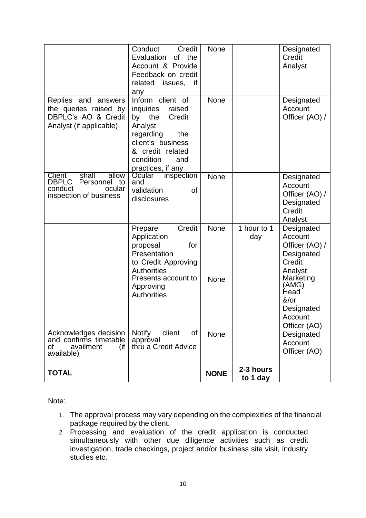|                                                                                                         | Conduct<br>Credit<br>Evaluation<br>of the<br>Account & Provide<br>Feedback on credit<br>related<br>issues,<br>if<br>any                                                         | <b>None</b> |                       | Designated<br>Credit<br>Analyst                                                            |
|---------------------------------------------------------------------------------------------------------|---------------------------------------------------------------------------------------------------------------------------------------------------------------------------------|-------------|-----------------------|--------------------------------------------------------------------------------------------|
| Replies and answers<br>the queries raised by<br>DBPLC's AO & Credit<br>Analyst (if applicable)          | Inform client of<br>inquiries<br>raised<br>the<br>Credit<br>by<br>Analyst<br>regarding<br>the<br>client's business<br>& credit related<br>condition<br>and<br>practices, if any | <b>None</b> |                       | Designated<br>Account<br>Officer (AO) /                                                    |
| shall<br>allow<br>Client<br><b>DBPLC</b><br>Personnel to<br>conduct<br>ocular<br>inspection of business | Ocular<br>inspection<br>and<br>validation<br>of<br>disclosures                                                                                                                  | <b>None</b> |                       | Designated<br>Account<br>Officer (AO) /<br>Designated<br>Credit<br>Analyst                 |
|                                                                                                         | Credit<br>Prepare<br>Application<br>proposal<br>for<br>Presentation<br>to Credit Approving<br><b>Authorities</b>                                                                | None        | 1 hour to 1<br>day    | Designated<br>Account<br>Officer (AO) /<br>Designated<br>Credit<br>Analyst                 |
|                                                                                                         | Presents account to<br>Approving<br><b>Authorities</b>                                                                                                                          | <b>None</b> |                       | <b>Marketing</b><br>(AMG)<br>Head<br>$&\sqrt{or}$<br>Designated<br>Account<br>Officer (AO) |
| Acknowledges decision<br>and confirms timetable<br>οf<br>availment<br>(if<br>available)                 | <b>Notify</b><br>client<br>$\overline{\text{of}}$<br>approval<br>thru a Credit Advice                                                                                           | None        |                       | Designated<br>Account<br>Officer (AO)                                                      |
| <b>TOTAL</b>                                                                                            |                                                                                                                                                                                 | <b>NONE</b> | 2-3 hours<br>to 1 day |                                                                                            |

Note:

- 1. The approval process may vary depending on the complexities of the financial package required by the client.
- 2. Processing and evaluation of the credit application is conducted simultaneously with other due diligence activities such as credit investigation, trade checkings, project and/or business site visit, industry studies etc.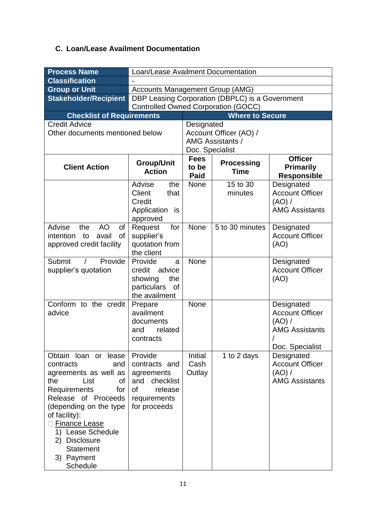### **C. Loan/Lease Availment Documentation**

| <b>Process Name</b>                                                                                                                                                                                                                                                                                                        | Loan/Lease Availment Documentation                                                                                 |                               |                                                   |                                                                                            |  |
|----------------------------------------------------------------------------------------------------------------------------------------------------------------------------------------------------------------------------------------------------------------------------------------------------------------------------|--------------------------------------------------------------------------------------------------------------------|-------------------------------|---------------------------------------------------|--------------------------------------------------------------------------------------------|--|
| <b>Classification</b>                                                                                                                                                                                                                                                                                                      |                                                                                                                    |                               |                                                   |                                                                                            |  |
| <b>Group or Unit</b>                                                                                                                                                                                                                                                                                                       | <b>Accounts Management Group (AMG)</b>                                                                             |                               |                                                   |                                                                                            |  |
| <b>Stakeholder/Recipient</b>                                                                                                                                                                                                                                                                                               | <b>Controlled Owned Corporation (GOCC)</b>                                                                         |                               | DBP Leasing Corporation (DBPLC) is a Government   |                                                                                            |  |
| <b>Checklist of Requirements</b>                                                                                                                                                                                                                                                                                           |                                                                                                                    |                               | <b>Where to Secure</b>                            |                                                                                            |  |
| <b>Credit Advice</b><br>Other documents mentioned below                                                                                                                                                                                                                                                                    |                                                                                                                    | Designated<br>Doc. Specialist | Account Officer (AO) /<br><b>AMG Assistants /</b> |                                                                                            |  |
| <b>Client Action</b>                                                                                                                                                                                                                                                                                                       | <b>Group/Unit</b><br><b>Action</b>                                                                                 | <b>Fees</b><br>to be<br>Paid  | <b>Processing</b><br><b>Time</b>                  | <b>Officer</b><br>Primarily<br><b>Responsible</b>                                          |  |
|                                                                                                                                                                                                                                                                                                                            | Advise<br>the<br>Client<br>that<br>Credit<br>Application is<br>approved                                            | None                          | 15 to 30<br>minutes                               | Designated<br><b>Account Officer</b><br>(AO) /<br><b>AMG Assistants</b>                    |  |
| <b>AO</b><br>of<br>Advise<br>the<br>of<br>intention<br>to<br>avail<br>approved credit facility                                                                                                                                                                                                                             | Request<br>for<br>supplier's<br>quotation from<br>the client                                                       | None                          | 5 to 30 minutes                                   | Designated<br><b>Account Officer</b><br>(AO)                                               |  |
| Submit<br>Provide<br>supplier's quotation                                                                                                                                                                                                                                                                                  | Provide<br>a<br>credit<br>advice<br>showing<br>the<br>particulars<br><b>of</b><br>the availment                    | None                          |                                                   | Designated<br><b>Account Officer</b><br>(AO)                                               |  |
| Conform to the credit<br>advice                                                                                                                                                                                                                                                                                            | Prepare<br>availment<br>documents<br>related<br>and<br>contracts                                                   | None                          |                                                   | Designated<br><b>Account Officer</b><br>(AO) /<br><b>AMG Assistants</b><br>Doc. Specialist |  |
| Obtain loan or lease<br>contracts<br>and<br>agreements as well as<br><b>of</b><br>the<br>List<br><b>Requirements</b><br>for<br>Release of Proceeds<br>(depending on the type<br>of facility):<br><b>Finance Lease</b><br><b>Lease Schedule</b><br>1)<br>2) Disclosure<br><b>Statement</b><br>3) Payment<br><b>Schedule</b> | Provide<br>contracts and<br>agreements<br>checklist<br>and<br><b>of</b><br>release<br>requirements<br>for proceeds | Initial<br>Cash<br>Outlay     | 1 to 2 days                                       | Designated<br><b>Account Officer</b><br>(AO) /<br><b>AMG Assistants</b>                    |  |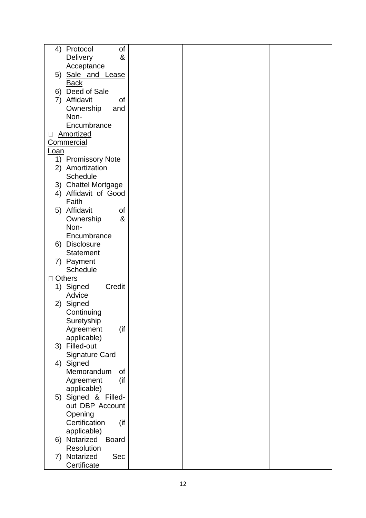| 4) Protocol<br>οf            |  |  |
|------------------------------|--|--|
| <b>Delivery</b><br>&         |  |  |
| Acceptance                   |  |  |
| 5) Sale and Lease            |  |  |
| <b>Back</b>                  |  |  |
| 6) Deed of Sale              |  |  |
|                              |  |  |
| 7) Affidavit<br>οf           |  |  |
| Ownership<br>and             |  |  |
| Non-                         |  |  |
| Encumbrance                  |  |  |
| Amortized                    |  |  |
| <b>Commercial</b>            |  |  |
| Loan                         |  |  |
| 1) Promissory Note           |  |  |
| 2) Amortization              |  |  |
| Schedule                     |  |  |
| 3) Chattel Mortgage          |  |  |
| 4) Affidavit of Good         |  |  |
| Faith                        |  |  |
|                              |  |  |
| 5) Affidavit<br>οf           |  |  |
| &<br>Ownership               |  |  |
| Non-                         |  |  |
| Encumbrance                  |  |  |
| 6) Disclosure                |  |  |
| <b>Statement</b>             |  |  |
| 7) Payment                   |  |  |
| <b>Schedule</b>              |  |  |
| <b>Others</b>                |  |  |
| 1) Signed<br>Credit          |  |  |
| Advice                       |  |  |
| 2) Signed                    |  |  |
| Continuing                   |  |  |
| Suretyship                   |  |  |
| (if<br>Agreement             |  |  |
| applicable)                  |  |  |
| 3) Filled-out                |  |  |
|                              |  |  |
| <b>Signature Card</b>        |  |  |
| 4) Signed                    |  |  |
| Memorandum<br>of             |  |  |
| (if<br>Agreement             |  |  |
| applicable)                  |  |  |
| 5) Signed & Filled-          |  |  |
| out DBP Account              |  |  |
| Opening                      |  |  |
| Certification<br>(if         |  |  |
| applicable)                  |  |  |
| 6) Notarized<br><b>Board</b> |  |  |
| Resolution                   |  |  |
| 7) Notarized<br>Sec          |  |  |
| Certificate                  |  |  |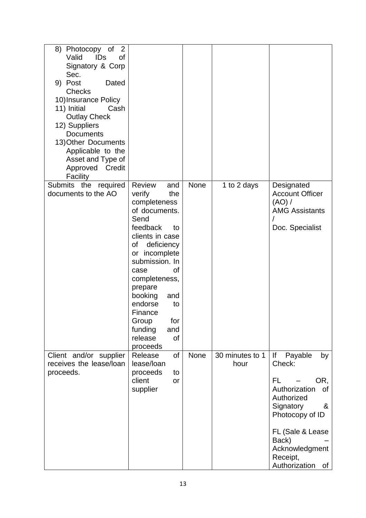| 8) Photocopy of<br>2<br>Valid<br><b>IDs</b><br>οf<br>Signatory & Corp<br>Sec.<br>9) Post<br>Dated<br><b>Checks</b><br>10) Insurance Policy<br>11) Initial<br>Cash<br><b>Outlay Check</b><br>12) Suppliers<br><b>Documents</b><br>13) Other Documents<br>Applicable to the<br>Asset and Type of<br>Approved<br>Credit<br>Facility |                                                                                                                                                                                                                                                                                                                                   |      |                         |                                                                                                                                                                                                        |
|----------------------------------------------------------------------------------------------------------------------------------------------------------------------------------------------------------------------------------------------------------------------------------------------------------------------------------|-----------------------------------------------------------------------------------------------------------------------------------------------------------------------------------------------------------------------------------------------------------------------------------------------------------------------------------|------|-------------------------|--------------------------------------------------------------------------------------------------------------------------------------------------------------------------------------------------------|
| <b>Submits</b><br>the<br>required<br>documents to the AO                                                                                                                                                                                                                                                                         | <b>Review</b><br>and<br>verify<br>the<br>completeness<br>of documents.<br>Send<br>feedback<br>to<br>clients in case<br>deficiency<br>οf<br>or incomplete<br>submission. In<br>0f<br>case<br>completeness,<br>prepare<br>booking<br>and<br>endorse<br>to<br>Finance<br>for<br>Group<br>funding<br>and<br>release<br>of<br>proceeds | None | 1 to 2 days             | Designated<br><b>Account Officer</b><br>(AO) /<br><b>AMG Assistants</b><br>Doc. Specialist                                                                                                             |
| Client and/or supplier<br>receives the lease/loan<br>proceeds.                                                                                                                                                                                                                                                                   | <b>of</b><br>Release<br>lease/loan<br>proceeds<br>to<br>client<br>or<br>supplier                                                                                                                                                                                                                                                  | None | 30 minutes to 1<br>hour | Payable<br>lf<br>by<br>Check:<br>OR,<br>FL<br>Authorization<br>of<br>Authorized<br>Signatory<br>&<br>Photocopy of ID<br>FL (Sale & Lease<br>Back)<br>Acknowledgment<br>Receipt,<br>Authorization<br>of |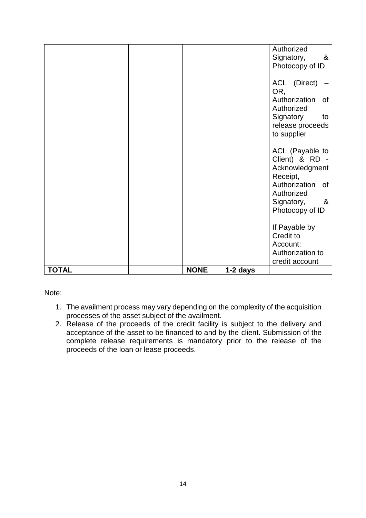| <b>TOTAL</b> | <b>NONE</b> | 1-2 days |                                               |
|--------------|-------------|----------|-----------------------------------------------|
|              |             |          | credit account                                |
|              |             |          | Account:<br>Authorization to                  |
|              |             |          | Credit to                                     |
|              |             |          | If Payable by                                 |
|              |             |          |                                               |
|              |             |          | Signatory,<br><u>&amp;</u><br>Photocopy of ID |
|              |             |          | Authorized                                    |
|              |             |          | Authorization<br>0f                           |
|              |             |          | Receipt,                                      |
|              |             |          | Client) & RD -<br>Acknowledgment              |
|              |             |          | ACL (Payable to                               |
|              |             |          |                                               |
|              |             |          | release proceeds<br>to supplier               |
|              |             |          | Signatory<br>to                               |
|              |             |          | Authorized                                    |
|              |             |          | Authorization<br><b>of</b>                    |
|              |             |          | ACL (Direct)<br>OR,                           |
|              |             |          |                                               |
|              |             |          | Photocopy of ID                               |
|              |             |          | Signatory,<br>- &                             |
|              |             |          | Authorized                                    |

Note:

- 1. The availment process may vary depending on the complexity of the acquisition processes of the asset subject of the availment.
- 2. Release of the proceeds of the credit facility is subject to the delivery and acceptance of the asset to be financed to and by the client. Submission of the complete release requirements is mandatory prior to the release of the proceeds of the loan or lease proceeds.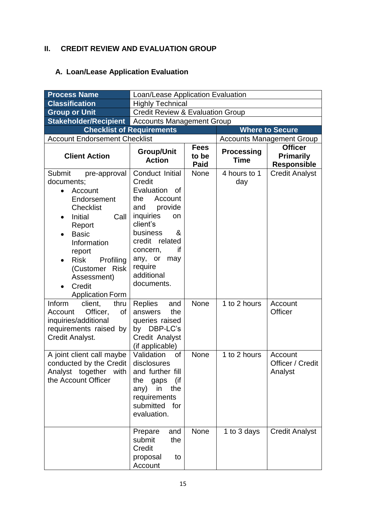### **II. CREDIT REVIEW AND EVALUATION GROUP**

# **A. Loan/Lease Application Evaluation**

| <b>Process Name</b>                                                                                                                                                                                                                                                                            | Loan/Lease Application Evaluation                                                                                                                                                                                                 |                                     |                                  |                                                          |  |
|------------------------------------------------------------------------------------------------------------------------------------------------------------------------------------------------------------------------------------------------------------------------------------------------|-----------------------------------------------------------------------------------------------------------------------------------------------------------------------------------------------------------------------------------|-------------------------------------|----------------------------------|----------------------------------------------------------|--|
| <b>Classification</b>                                                                                                                                                                                                                                                                          | <b>Highly Technical</b>                                                                                                                                                                                                           |                                     |                                  |                                                          |  |
| <b>Group or Unit</b>                                                                                                                                                                                                                                                                           | <b>Credit Review &amp; Evaluation Group</b>                                                                                                                                                                                       |                                     |                                  |                                                          |  |
| <b>Stakeholder/Recipient</b>                                                                                                                                                                                                                                                                   | <b>Accounts Management Group</b>                                                                                                                                                                                                  |                                     |                                  |                                                          |  |
|                                                                                                                                                                                                                                                                                                | <b>Checklist of Requirements</b>                                                                                                                                                                                                  |                                     |                                  | <b>Where to Secure</b>                                   |  |
| <b>Account Endorsement Checklist</b>                                                                                                                                                                                                                                                           |                                                                                                                                                                                                                                   |                                     |                                  | <b>Accounts Management Group</b>                         |  |
| <b>Client Action</b>                                                                                                                                                                                                                                                                           | Group/Unit<br><b>Action</b>                                                                                                                                                                                                       | <b>Fees</b><br>to be<br><b>Paid</b> | <b>Processing</b><br><b>Time</b> | <b>Officer</b><br><b>Primarily</b><br><b>Responsible</b> |  |
| Submit<br>pre-approval<br>documents;<br>Account<br>$\bullet$<br>Endorsement<br><b>Checklist</b><br>Initial<br>Call<br>$\bullet$<br>Report<br><b>Basic</b><br>Information<br>report<br><b>Risk</b><br>Profiling<br>(Customer<br><b>Risk</b><br>Assessment)<br>Credit<br><b>Application Form</b> | Conduct Initial<br>Credit<br>Evaluation<br>οf<br>Account<br>the<br>provide<br>and<br>inquiries<br>on<br>client's<br>business<br>&<br>credit<br>related<br>concern,<br>if<br>any, or<br>may<br>require<br>additional<br>documents. | <b>None</b>                         | 4 hours to 1<br>day              | <b>Credit Analyst</b>                                    |  |
| Inform<br>client,<br>thru<br>Officer,<br>of<br>Account<br>inquiries/additional<br>requirements raised by<br>Credit Analyst.                                                                                                                                                                    | <b>Replies</b><br>and<br>the<br>answers<br>queries raised<br>by DBP-LC's<br>Credit Analyst<br>(if applicable)                                                                                                                     | None                                | 1 to 2 hours                     | Account<br><b>Officer</b>                                |  |
| A joint client call maybe<br>conducted by the Credit<br>together<br>Analyst<br>with<br>the Account Officer                                                                                                                                                                                     | Validation<br>0f<br>disclosures<br>and further fill<br>the<br>(if<br>gaps<br>the<br>any)<br>in<br>requirements<br>submitted<br>for<br>evaluation.                                                                                 | None                                | 1 to 2 hours                     | Account<br>Officer / Credit<br>Analyst                   |  |
|                                                                                                                                                                                                                                                                                                | Prepare<br>and<br>submit<br>the<br>Credit<br>proposal<br>to<br>Account                                                                                                                                                            | None                                | 1 to 3 days                      | <b>Credit Analyst</b>                                    |  |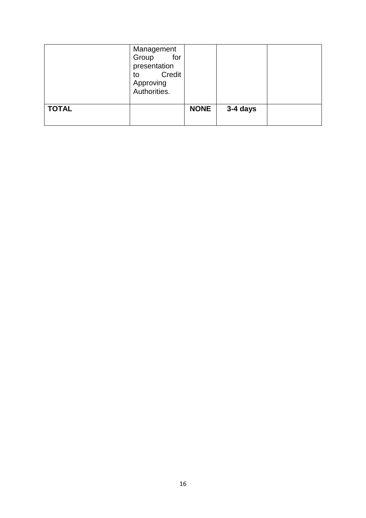|              | Management<br>for<br>Group<br>presentation<br>Credit<br>to<br>Approving<br>Authorities. |             |          |  |
|--------------|-----------------------------------------------------------------------------------------|-------------|----------|--|
| <b>TOTAL</b> |                                                                                         | <b>NONE</b> | 3-4 days |  |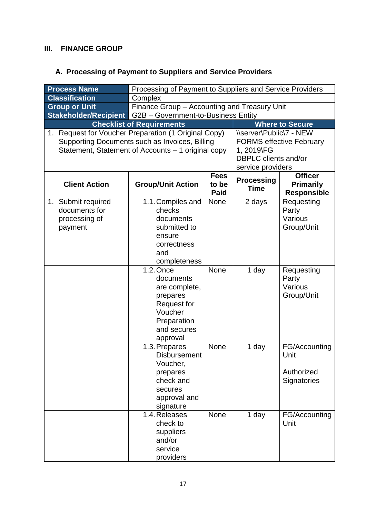### **III. FINANCE GROUP**

# **A. Processing of Payment to Suppliers and Service Providers**

| <b>Process Name</b>                                              | Processing of Payment to Suppliers and Service Providers                                                                                                  |                                                          |                                                                                                                              |                                                          |  |
|------------------------------------------------------------------|-----------------------------------------------------------------------------------------------------------------------------------------------------------|----------------------------------------------------------|------------------------------------------------------------------------------------------------------------------------------|----------------------------------------------------------|--|
| <b>Classification</b>                                            | Complex                                                                                                                                                   |                                                          |                                                                                                                              |                                                          |  |
| <b>Group or Unit</b>                                             | Finance Group - Accounting and Treasury Unit                                                                                                              |                                                          |                                                                                                                              |                                                          |  |
| <b>Stakeholder/Recipient G2B - Government-to-Business Entity</b> |                                                                                                                                                           |                                                          |                                                                                                                              |                                                          |  |
|                                                                  | <b>Checklist of Requirements</b>                                                                                                                          |                                                          |                                                                                                                              | <b>Where to Secure</b>                                   |  |
| 1.                                                               | Request for Voucher Preparation (1 Original Copy)<br>Supporting Documents such as Invoices, Billing<br>Statement, Statement of Accounts - 1 original copy |                                                          | \\server\Public\7 - NEW<br><b>FORMS effective February</b><br>1, 2019\FG<br><b>DBPLC</b> clients and/or<br>service providers |                                                          |  |
| <b>Client Action</b>                                             | <b>Group/Unit Action</b>                                                                                                                                  | <b>Fees</b><br><b>Processing</b><br>to be<br><b>Paid</b> |                                                                                                                              | <b>Officer</b><br><b>Primarily</b><br><b>Responsible</b> |  |
| 1. Submit required<br>documents for<br>processing of<br>payment  | 1.1. Compiles and<br>checks<br>documents<br>submitted to<br>ensure<br>correctness<br>and<br>completeness                                                  | <b>None</b>                                              | 2 days                                                                                                                       | Requesting<br>Party<br>Various<br>Group/Unit             |  |
|                                                                  | 1.2. Once<br>documents<br>are complete,<br>prepares<br><b>Request for</b><br>Voucher<br>Preparation<br>and secures<br>approval                            | None                                                     | 1 day                                                                                                                        | Requesting<br>Party<br>Various<br>Group/Unit             |  |
|                                                                  | 1.3. Prepares<br><b>Disbursement</b><br>Voucher,<br>prepares<br>check and<br>secures<br>approval and<br>signature                                         | None                                                     | 1 day                                                                                                                        | FG/Accounting<br>Unit<br>Authorized<br>Signatories       |  |
|                                                                  | 1.4. Releases<br>check to<br>suppliers<br>and/or<br>service<br>providers                                                                                  | None                                                     | 1 day                                                                                                                        | FG/Accounting<br>Unit                                    |  |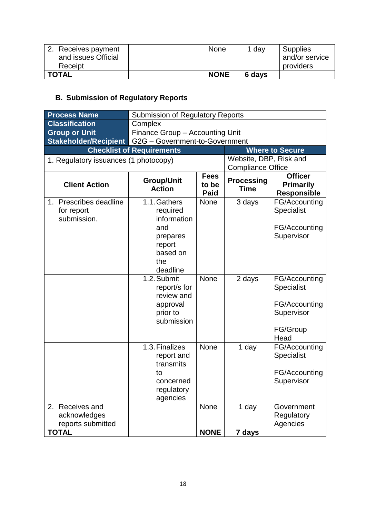| 2. Receives payment<br>and issues Official<br>Receipt | <b>None</b> | 1 day  | Supplies<br>and/or service<br>providers |
|-------------------------------------------------------|-------------|--------|-----------------------------------------|
| <b>TOTAL</b>                                          | <b>NONE</b> | 6 days |                                         |

# **B. Submission of Regulatory Reports**

| <b>Process Name</b>                   | <b>Submission of Regulatory Reports</b> |                                     |                                  |                                                          |  |
|---------------------------------------|-----------------------------------------|-------------------------------------|----------------------------------|----------------------------------------------------------|--|
| <b>Classification</b>                 | Complex                                 |                                     |                                  |                                                          |  |
| <b>Group or Unit</b>                  | Finance Group - Accounting Unit         |                                     |                                  |                                                          |  |
| Stakeholder/Recipient                 | G2G - Government-to-Government          |                                     |                                  |                                                          |  |
|                                       | <b>Checklist of Requirements</b>        |                                     |                                  | <b>Where to Secure</b>                                   |  |
| 1. Regulatory issuances (1 photocopy) |                                         |                                     | Website, DBP, Risk and           |                                                          |  |
|                                       |                                         |                                     | <b>Compliance Office</b>         |                                                          |  |
| <b>Client Action</b>                  | <b>Group/Unit</b><br><b>Action</b>      | <b>Fees</b><br>to be<br><b>Paid</b> | <b>Processing</b><br><b>Time</b> | <b>Officer</b><br><b>Primarily</b><br><b>Responsible</b> |  |
| 1. Prescribes deadline                | 1.1. Gathers                            | <b>None</b>                         | 3 days                           | FG/Accounting                                            |  |
| for report                            | required                                |                                     |                                  | Specialist                                               |  |
| submission.                           | information                             |                                     |                                  |                                                          |  |
|                                       | and                                     |                                     |                                  | FG/Accounting                                            |  |
|                                       | prepares                                |                                     |                                  | Supervisor                                               |  |
|                                       | report                                  |                                     |                                  |                                                          |  |
|                                       | based on<br>the                         |                                     |                                  |                                                          |  |
|                                       | deadline                                |                                     |                                  |                                                          |  |
|                                       | 1.2. Submit                             | None                                | 2 days                           | FG/Accounting                                            |  |
|                                       | report/s for                            |                                     |                                  | Specialist                                               |  |
|                                       | review and                              |                                     |                                  |                                                          |  |
|                                       | approval                                |                                     |                                  | FG/Accounting                                            |  |
|                                       | prior to                                |                                     |                                  | Supervisor                                               |  |
|                                       | submission                              |                                     |                                  |                                                          |  |
|                                       |                                         |                                     |                                  | FG/Group                                                 |  |
|                                       |                                         |                                     |                                  | Head                                                     |  |
|                                       | 1.3. Finalizes                          | None                                | 1 day                            | FG/Accounting                                            |  |
|                                       | report and<br>transmits                 |                                     |                                  | Specialist                                               |  |
|                                       | to                                      |                                     |                                  | FG/Accounting                                            |  |
|                                       | concerned                               |                                     |                                  | Supervisor                                               |  |
|                                       | regulatory                              |                                     |                                  |                                                          |  |
|                                       | agencies                                |                                     |                                  |                                                          |  |
| 2. Receives and                       |                                         | <b>None</b>                         | 1 day                            | Government                                               |  |
| acknowledges                          |                                         |                                     |                                  | Regulatory                                               |  |
| reports submitted                     |                                         |                                     |                                  | Agencies                                                 |  |
| <b>TOTAL</b>                          |                                         | <b>NONE</b>                         | 7 days                           |                                                          |  |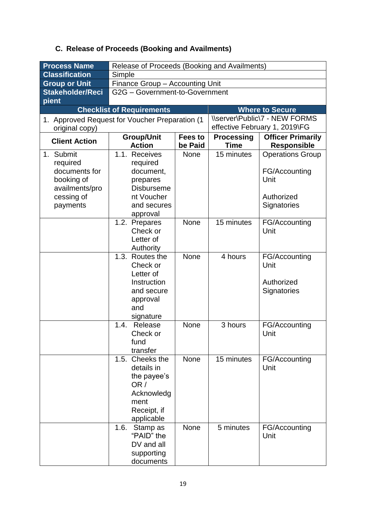# **C. Release of Proceeds (Booking and Availments)**

| <b>Process Name</b>                                                                              | Release of Proceeds (Booking and Availments)                                                                     |                    |                                  |                                                                               |  |
|--------------------------------------------------------------------------------------------------|------------------------------------------------------------------------------------------------------------------|--------------------|----------------------------------|-------------------------------------------------------------------------------|--|
| <b>Classification</b>                                                                            | Simple                                                                                                           |                    |                                  |                                                                               |  |
| <b>Group or Unit</b>                                                                             | Finance Group - Accounting Unit                                                                                  |                    |                                  |                                                                               |  |
| Stakeholder/Reci                                                                                 | G2G - Government-to-Government                                                                                   |                    |                                  |                                                                               |  |
| pient                                                                                            |                                                                                                                  |                    |                                  |                                                                               |  |
|                                                                                                  | <b>Checklist of Requirements</b>                                                                                 |                    |                                  | <b>Where to Secure</b>                                                        |  |
| original copy)                                                                                   | 1. Approved Request for Voucher Preparation (1                                                                   |                    |                                  | <b>\\server\Public\7 - NEW FORMS</b><br>effective February 1, 2019\FG         |  |
| <b>Client Action</b>                                                                             | <b>Group/Unit</b><br><b>Action</b>                                                                               | Fees to<br>be Paid | <b>Processing</b><br><b>Time</b> | <b>Officer Primarily</b><br><b>Responsible</b>                                |  |
| 1. Submit<br>required<br>documents for<br>booking of<br>availments/pro<br>cessing of<br>payments | 1.1. Receives<br>required<br>document,<br>prepares<br><b>Disburseme</b><br>nt Voucher<br>and secures<br>approval | <b>None</b>        | 15 minutes                       | <b>Operations Group</b><br>FG/Accounting<br>Unit<br>Authorized<br>Signatories |  |
|                                                                                                  | 1.2. Prepares<br>Check or<br>Letter of<br>Authority                                                              | <b>None</b>        | 15 minutes                       | FG/Accounting<br>Unit                                                         |  |
|                                                                                                  | 1.3. Routes the<br>Check or<br>Letter of<br>Instruction<br>and secure<br>approval<br>and<br>signature            | <b>None</b>        | 4 hours                          | FG/Accounting<br>Unit<br>Authorized<br>Signatories                            |  |
|                                                                                                  | Release<br>1.4.<br>Check or<br>fund<br>transfer                                                                  | <b>None</b>        | 3 hours                          | FG/Accounting<br>Unit                                                         |  |
|                                                                                                  | 1.5. Cheeks the<br>details in<br>the payee's<br>OR /<br>Acknowledg<br>ment<br>Receipt, if<br>applicable          | None               | 15 minutes                       | FG/Accounting<br>Unit                                                         |  |
|                                                                                                  | 1.6.<br>Stamp as<br>"PAID" the<br>DV and all<br>supporting<br>documents                                          | None               | 5 minutes                        | FG/Accounting<br>Unit                                                         |  |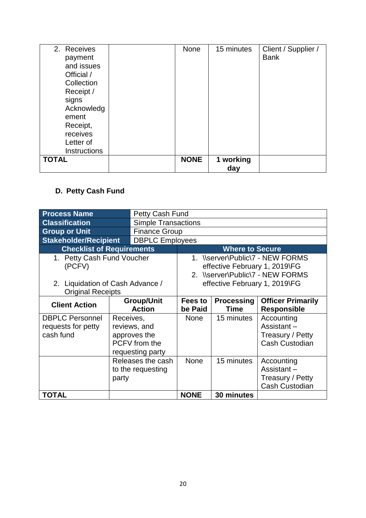| 2. Receives<br>payment<br>and issues<br>Official /<br>Collection<br>Receipt /<br>signs<br>Acknowledg<br>ement<br>Receipt,<br>receives<br>Letter of | None        | 15 minutes       | Client / Supplier /<br><b>Bank</b> |
|----------------------------------------------------------------------------------------------------------------------------------------------------|-------------|------------------|------------------------------------|
| <b>Instructions</b>                                                                                                                                |             |                  |                                    |
| <b>TOTAL</b>                                                                                                                                       | <b>NONE</b> | 1 working<br>day |                                    |

# **D. Petty Cash Fund**

| <b>Process Name</b>                                          |           | Petty Cash Fund                                                          |                                                                                                       |                                  |                                                                |  |
|--------------------------------------------------------------|-----------|--------------------------------------------------------------------------|-------------------------------------------------------------------------------------------------------|----------------------------------|----------------------------------------------------------------|--|
| <b>Classification</b>                                        |           | <b>Simple Transactions</b>                                               |                                                                                                       |                                  |                                                                |  |
| <b>Group or Unit</b>                                         |           | <b>Finance Group</b>                                                     |                                                                                                       |                                  |                                                                |  |
| <b>Stakeholder/Recipient</b>                                 |           | <b>DBPLC Employees</b>                                                   |                                                                                                       |                                  |                                                                |  |
| <b>Checklist of Requirements</b>                             |           |                                                                          | <b>Where to Secure</b>                                                                                |                                  |                                                                |  |
| 1. Petty Cash Fund Voucher<br>(PCFV)                         |           |                                                                          | 1. \\server\Public\7 - NEW FORMS<br>effective February 1, 2019\FG<br>2. \\server\Public\7 - NEW FORMS |                                  |                                                                |  |
| 2. Liquidation of Cash Advance /<br><b>Original Receipts</b> |           |                                                                          | effective February 1, 2019\FG                                                                         |                                  |                                                                |  |
| <b>Client Action</b>                                         |           | <b>Group/Unit</b><br><b>Action</b>                                       | Fees to<br>be Paid                                                                                    | <b>Processing</b><br><b>Time</b> | <b>Officer Primarily</b><br><b>Responsible</b>                 |  |
| <b>DBPLC Personnel</b><br>requests for petty<br>cash fund    | Receives, | reviews, and<br>approves the<br><b>PCFV</b> from the<br>requesting party | <b>None</b>                                                                                           | 15 minutes                       | Accounting<br>Assistant-<br>Treasury / Petty<br>Cash Custodian |  |
|                                                              | party     | Releases the cash<br>to the requesting                                   | <b>None</b>                                                                                           | 15 minutes                       | Accounting<br>Assistant-<br>Treasury / Petty<br>Cash Custodian |  |
| <b>TOTAL</b>                                                 |           |                                                                          | <b>NONE</b>                                                                                           | 30 minutes                       |                                                                |  |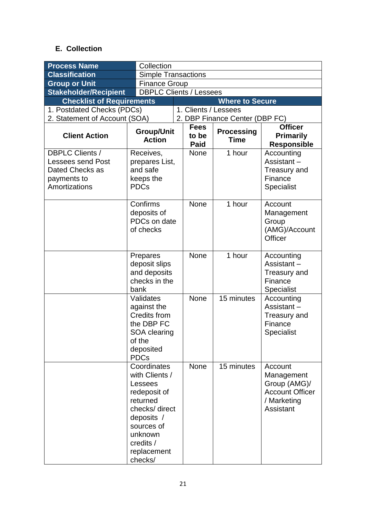### **E. Collection**

| <b>Process Name</b>                                                                                   | Collection                                                                                                                                                          |              |                                     |                                  |                                                                                             |  |
|-------------------------------------------------------------------------------------------------------|---------------------------------------------------------------------------------------------------------------------------------------------------------------------|--------------|-------------------------------------|----------------------------------|---------------------------------------------------------------------------------------------|--|
| <b>Classification</b>                                                                                 | <b>Simple Transactions</b>                                                                                                                                          |              |                                     |                                  |                                                                                             |  |
| <b>Group or Unit</b>                                                                                  | <b>Finance Group</b>                                                                                                                                                |              |                                     |                                  |                                                                                             |  |
| <b>Stakeholder/Recipient</b>                                                                          | <b>DBPLC Clients / Lessees</b>                                                                                                                                      |              |                                     |                                  |                                                                                             |  |
| <b>Checklist of Requirements</b>                                                                      |                                                                                                                                                                     |              |                                     | <b>Where to Secure</b>           |                                                                                             |  |
| 1. Postdated Checks (PDCs)                                                                            |                                                                                                                                                                     |              | 1. Clients / Lessees                |                                  |                                                                                             |  |
| 2. Statement of Account (SOA)                                                                         |                                                                                                                                                                     |              |                                     | 2. DBP Finance Center (DBP FC)   |                                                                                             |  |
| <b>Client Action</b>                                                                                  | <b>Group/Unit</b><br><b>Action</b>                                                                                                                                  |              | <b>Fees</b><br>to be<br><b>Paid</b> | <b>Processing</b><br><b>Time</b> | <b>Officer</b><br><b>Primarily</b><br><b>Responsible</b>                                    |  |
| <b>DBPLC Clients /</b><br><b>Lessees send Post</b><br>Dated Checks as<br>payments to<br>Amortizations | Receives,<br>prepares List,<br>and safe<br>keeps the<br><b>PDCs</b>                                                                                                 |              | <b>None</b>                         | 1 hour                           | Accounting<br>Assistant $-$<br>Treasury and<br>Finance<br>Specialist                        |  |
|                                                                                                       | Confirms<br>deposits of<br>of checks                                                                                                                                | PDCs on date |                                     | 1 hour                           | Account<br>Management<br>Group<br>(AMG)/Account<br>Officer                                  |  |
|                                                                                                       | Prepares<br>deposit slips<br>and deposits<br>checks in the<br>bank                                                                                                  |              | <b>None</b>                         | 1 hour                           | Accounting<br>Assistant $-$<br><b>Treasury and</b><br>Finance<br><b>Specialist</b>          |  |
|                                                                                                       | Validates<br>against the<br>Credits from<br>the DBP FC<br>SOA clearing<br>of the<br>deposited<br><b>PDCs</b>                                                        |              | None                                | 15 minutes                       | Accounting<br>Assistant $-$<br><b>Treasury and</b><br>Finance<br>Specialist                 |  |
|                                                                                                       | Coordinates<br>with Clients /<br>Lessees<br>redeposit of<br>returned<br>checks/direct<br>deposits /<br>sources of<br>unknown<br>credits /<br>replacement<br>checks/ |              | <b>None</b>                         | 15 minutes                       | Account<br>Management<br>Group (AMG)/<br><b>Account Officer</b><br>/ Marketing<br>Assistant |  |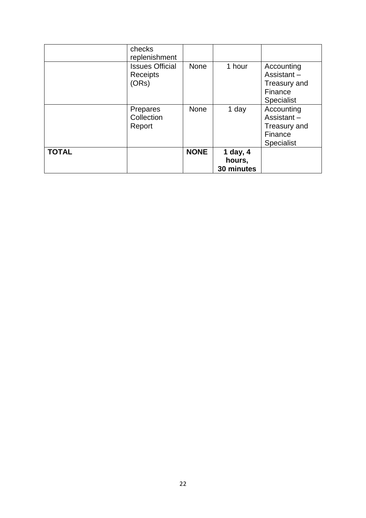| <b>TOTAL</b> |                                                                        | <b>NONE</b> | 1 day, $4$<br>hours, |                                                                             |
|--------------|------------------------------------------------------------------------|-------------|----------------------|-----------------------------------------------------------------------------|
|              | Prepares<br>Collection<br>Report                                       | <b>None</b> | 1 day                | Accounting<br>Assistant-<br>Treasury and<br>Finance<br><b>Specialist</b>    |
|              | checks<br>replenishment<br><b>Issues Official</b><br>Receipts<br>(ORs) | <b>None</b> | 1 hour               | Accounting<br>Assistant $-$<br>Treasury and<br>Finance<br><b>Specialist</b> |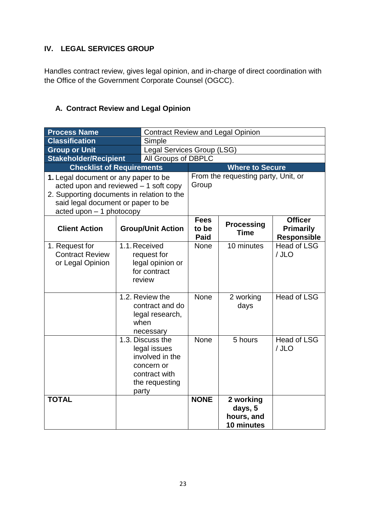#### **IV. LEGAL SERVICES GROUP**

Handles contract review, gives legal opinion, and in-charge of direct coordination with the Office of the Government Corporate Counsel (OGCC).

### **A. Contract Review and Legal Opinion**

| <b>Process Name</b>                                          |                                                                                                                                                                                                          |                                                                                                      | <b>Contract Review and Legal Opinion</b> |                                                  |                                                          |  |
|--------------------------------------------------------------|----------------------------------------------------------------------------------------------------------------------------------------------------------------------------------------------------------|------------------------------------------------------------------------------------------------------|------------------------------------------|--------------------------------------------------|----------------------------------------------------------|--|
| <b>Classification</b>                                        |                                                                                                                                                                                                          | Simple                                                                                               |                                          |                                                  |                                                          |  |
| <b>Group or Unit</b>                                         |                                                                                                                                                                                                          |                                                                                                      |                                          | Legal Services Group (LSG)                       |                                                          |  |
| <b>Stakeholder/Recipient</b>                                 |                                                                                                                                                                                                          | All Groups of DBPLC                                                                                  |                                          |                                                  |                                                          |  |
| <b>Checklist of Requirements</b>                             |                                                                                                                                                                                                          |                                                                                                      | <b>Where to Secure</b>                   |                                                  |                                                          |  |
|                                                              | 1. Legal document or any paper to be<br>acted upon and reviewed $-1$ soft copy<br>2. Supporting documents in relation to the<br>said legal document or paper to be<br>$\alpha$ acted upon $-1$ photocopy |                                                                                                      | Group                                    | From the requesting party, Unit, or              |                                                          |  |
| <b>Client Action</b>                                         | <b>Group/Unit Action</b>                                                                                                                                                                                 |                                                                                                      | <b>Fees</b><br>to be<br><b>Paid</b>      | <b>Processing</b><br><b>Time</b>                 | <b>Officer</b><br><b>Primarily</b><br><b>Responsible</b> |  |
| 1. Request for<br><b>Contract Review</b><br>or Legal Opinion | 1.1. Received<br>request for<br>legal opinion or<br>for contract<br>review                                                                                                                               |                                                                                                      | None                                     | 10 minutes                                       | <b>Head of LSG</b><br>/ JLO                              |  |
|                                                              | 1.2. Review the<br>contract and do<br>legal research,<br>when<br>necessary                                                                                                                               |                                                                                                      | None                                     | 2 working<br>days                                | <b>Head of LSG</b>                                       |  |
|                                                              |                                                                                                                                                                                                          | 1.3. Discuss the<br>legal issues<br>involved in the<br>concern or<br>contract with<br>the requesting |                                          | 5 hours                                          | <b>Head of LSG</b><br>/ JLO                              |  |
| <b>TOTAL</b>                                                 |                                                                                                                                                                                                          | party                                                                                                |                                          | 2 working<br>days, 5<br>hours, and<br>10 minutes |                                                          |  |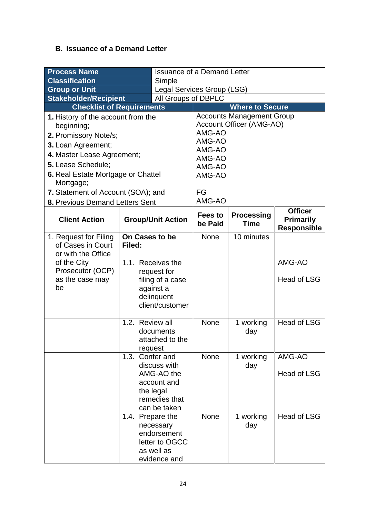### **B. Issuance of a Demand Letter**

| <b>Process Name</b>                 |                            | <b>Issuance of a Demand Letter</b> |                            |                                  |                                                          |  |
|-------------------------------------|----------------------------|------------------------------------|----------------------------|----------------------------------|----------------------------------------------------------|--|
| <b>Classification</b><br>Simple     |                            |                                    |                            |                                  |                                                          |  |
| <b>Group or Unit</b>                |                            |                                    | Legal Services Group (LSG) |                                  |                                                          |  |
| <b>Stakeholder/Recipient</b>        |                            | All Groups of DBPLC                |                            |                                  |                                                          |  |
| <b>Checklist of Requirements</b>    |                            |                                    |                            | <b>Where to Secure</b>           |                                                          |  |
| 1. History of the account from the  |                            |                                    |                            | <b>Accounts Management Group</b> |                                                          |  |
| beginning;                          |                            |                                    |                            | Account Officer (AMG-AO)         |                                                          |  |
| 2. Promissory Note/s;               |                            |                                    | AMG-AO<br>AMG-AO           |                                  |                                                          |  |
| 3. Loan Agreement;                  |                            |                                    | AMG-AO                     |                                  |                                                          |  |
| 4. Master Lease Agreement;          |                            |                                    | AMG-AO                     |                                  |                                                          |  |
| 5. Lease Schedule;                  |                            |                                    | AMG-AO                     |                                  |                                                          |  |
| 6. Real Estate Mortgage or Chattel  |                            |                                    | AMG-AO                     |                                  |                                                          |  |
| Mortgage;                           |                            |                                    |                            |                                  |                                                          |  |
| 7. Statement of Account (SOA); and  |                            | FG                                 |                            |                                  |                                                          |  |
| 8. Previous Demand Letters Sent     |                            | AMG-AO                             |                            |                                  |                                                          |  |
| <b>Client Action</b>                | <b>Group/Unit Action</b>   |                                    | <b>Fees to</b><br>be Paid  | <b>Processing</b><br><b>Time</b> | <b>Officer</b><br><b>Primarily</b><br><b>Responsible</b> |  |
| 1. Request for Filing               | On Cases to be             |                                    | None                       | 10 minutes                       |                                                          |  |
| of Cases in Court                   | Filed:                     |                                    |                            |                                  |                                                          |  |
| or with the Office                  |                            |                                    |                            |                                  |                                                          |  |
| of the City                         |                            | 1.1. Receives the                  |                            |                                  | AMG-AO                                                   |  |
| Prosecutor (OCP)<br>as the case may |                            | request for<br>filing of a case    |                            |                                  | <b>Head of LSG</b>                                       |  |
| be                                  |                            | against a                          |                            |                                  |                                                          |  |
|                                     |                            | delinquent                         |                            |                                  |                                                          |  |
|                                     |                            | client/customer                    |                            |                                  |                                                          |  |
|                                     |                            |                                    |                            |                                  |                                                          |  |
|                                     | 1.2. Review all            |                                    | None                       | 1 working                        | <b>Head of LSG</b>                                       |  |
|                                     |                            | documents                          |                            | day                              |                                                          |  |
|                                     |                            | attached to the                    |                            |                                  |                                                          |  |
|                                     | request<br>1.3. Confer and |                                    | None                       | 1 working                        | AMG-AO                                                   |  |
|                                     |                            | discuss with                       |                            | day                              |                                                          |  |
|                                     |                            | AMG-AO the                         |                            |                                  | <b>Head of LSG</b>                                       |  |
|                                     |                            | account and                        |                            |                                  |                                                          |  |
|                                     |                            | the legal                          |                            |                                  |                                                          |  |
|                                     |                            | remedies that                      |                            |                                  |                                                          |  |
|                                     |                            | can be taken                       |                            |                                  |                                                          |  |
|                                     | 1.4. Prepare the           |                                    | None                       | 1 working                        | <b>Head of LSG</b>                                       |  |
|                                     |                            | necessary                          |                            | day                              |                                                          |  |
|                                     |                            | endorsement<br>letter to OGCC      |                            |                                  |                                                          |  |
|                                     |                            | as well as                         |                            |                                  |                                                          |  |
|                                     |                            | evidence and                       |                            |                                  |                                                          |  |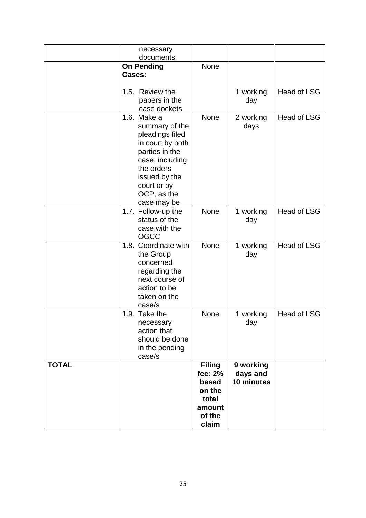|              | necessary<br>documents                                                                                                                                                 |                                                                                   |                                     |                    |
|--------------|------------------------------------------------------------------------------------------------------------------------------------------------------------------------|-----------------------------------------------------------------------------------|-------------------------------------|--------------------|
|              | <b>On Pending</b><br>Cases:                                                                                                                                            | <b>None</b>                                                                       |                                     |                    |
|              |                                                                                                                                                                        |                                                                                   |                                     |                    |
|              | 1.5. Review the<br>papers in the                                                                                                                                       |                                                                                   | 1 working<br>day                    | <b>Head of LSG</b> |
|              | case dockets                                                                                                                                                           |                                                                                   |                                     |                    |
|              | 1.6. Make a<br>summary of the<br>pleadings filed<br>in court by both<br>parties in the<br>case, including<br>the orders<br>issued by the<br>court or by<br>OCP, as the | None                                                                              | 2 working<br>days                   | <b>Head of LSG</b> |
|              | case may be<br>1.7. Follow-up the                                                                                                                                      | None                                                                              | 1 working                           | <b>Head of LSG</b> |
|              | status of the<br>case with the<br>OGCC                                                                                                                                 |                                                                                   | day                                 |                    |
|              | 1.8. Coordinate with<br>the Group<br>concerned<br>regarding the<br>next course of<br>action to be<br>taken on the<br>case/s                                            | None                                                                              | 1 working<br>day                    | <b>Head of LSG</b> |
|              | 1.9. Take the<br>necessary<br>action that<br>should be done<br>in the pending<br>case/s                                                                                | None                                                                              | 1 working<br>day                    | <b>Head of LSG</b> |
| <b>TOTAL</b> |                                                                                                                                                                        | <b>Filing</b><br>fee: 2%<br>based<br>on the<br>total<br>amount<br>of the<br>claim | 9 working<br>days and<br>10 minutes |                    |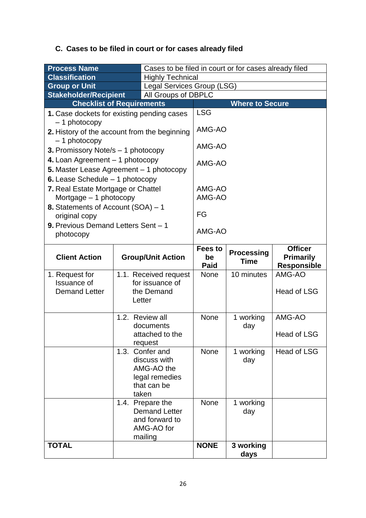# **C. Cases to be filed in court or for cases already filed**

| <b>Process Name</b>                                            |  | Cases to be filed in court or for cases already filed |                |                        |                    |
|----------------------------------------------------------------|--|-------------------------------------------------------|----------------|------------------------|--------------------|
| <b>Classification</b>                                          |  | <b>Highly Technical</b>                               |                |                        |                    |
| <b>Group or Unit</b>                                           |  | Legal Services Group (LSG)                            |                |                        |                    |
| <b>Stakeholder/Recipient</b>                                   |  | All Groups of DBPLC                                   |                |                        |                    |
| <b>Checklist of Requirements</b>                               |  |                                                       |                | <b>Where to Secure</b> |                    |
| 1. Case dockets for existing pending cases                     |  |                                                       | <b>LSG</b>     |                        |                    |
| $-1$ photocopy                                                 |  |                                                       |                |                        |                    |
| 2. History of the account from the beginning<br>$-1$ photocopy |  |                                                       | AMG-AO         |                        |                    |
| 3. Promissory Note/s - 1 photocopy                             |  |                                                       | AMG-AO         |                        |                    |
| 4. Loan Agreement - 1 photocopy                                |  |                                                       |                |                        |                    |
| 5. Master Lease Agreement - 1 photocopy                        |  |                                                       | AMG-AO         |                        |                    |
| <b>6.</b> Lease Schedule $-1$ photocopy                        |  |                                                       |                |                        |                    |
| 7. Real Estate Mortgage or Chattel                             |  |                                                       | AMG-AO         |                        |                    |
| Mortgage $-1$ photocopy                                        |  |                                                       | AMG-AO         |                        |                    |
| 8. Statements of Account (SOA) - 1                             |  |                                                       |                |                        |                    |
| original copy                                                  |  |                                                       | FG             |                        |                    |
| 9. Previous Demand Letters Sent - 1                            |  |                                                       |                |                        |                    |
| photocopy                                                      |  |                                                       | AMG-AO         |                        |                    |
|                                                                |  |                                                       | <b>Fees to</b> |                        | <b>Officer</b>     |
| <b>Client Action</b>                                           |  | <b>Group/Unit Action</b>                              | be             | <b>Processing</b>      | <b>Primarily</b>   |
|                                                                |  |                                                       | <b>Paid</b>    | <b>Time</b>            | <b>Responsible</b> |
| 1. Request for                                                 |  | 1.1. Received request                                 | None           | 10 minutes             | AMG-AO             |
| <b>Issuance of</b>                                             |  | for issuance of                                       |                |                        |                    |
| <b>Demand Letter</b>                                           |  | the Demand                                            |                |                        | <b>Head of LSG</b> |
|                                                                |  | Letter                                                |                |                        |                    |
|                                                                |  | 1.2. Review all                                       | <b>None</b>    |                        | AMG-AO             |
|                                                                |  | documents                                             |                | 1 working<br>day       |                    |
|                                                                |  | attached to the                                       |                |                        | Head of LSG        |
|                                                                |  | request                                               |                |                        |                    |
|                                                                |  | 1.3. Confer and                                       | <b>None</b>    | 1 working              | Head of LSG        |
|                                                                |  | discuss with                                          |                | day                    |                    |
|                                                                |  | AMG-AO the                                            |                |                        |                    |
|                                                                |  | legal remedies                                        |                |                        |                    |
|                                                                |  |                                                       |                |                        |                    |
|                                                                |  | that can be                                           |                |                        |                    |
|                                                                |  | taken                                                 |                |                        |                    |
|                                                                |  | 1.4. Prepare the                                      | None           | 1 working              |                    |
|                                                                |  | <b>Demand Letter</b><br>and forward to                |                | day                    |                    |
|                                                                |  | AMG-AO for                                            |                |                        |                    |
|                                                                |  | mailing                                               | <b>NONE</b>    |                        |                    |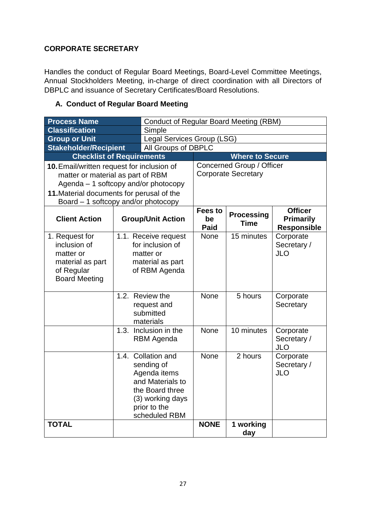### **CORPORATE SECRETARY**

Handles the conduct of Regular Board Meetings, Board-Level Committee Meetings, Annual Stockholders Meeting, in-charge of direct coordination with all Directors of DBPLC and issuance of Secretary Certificates/Board Resolutions.

#### **A. Conduct of Regular Board Meeting**

| <b>Process Name</b>                                                                                   |  | <b>Conduct of Regular Board Meeting (RBM)</b>                                                                                                |                              |                                  |                                                          |  |
|-------------------------------------------------------------------------------------------------------|--|----------------------------------------------------------------------------------------------------------------------------------------------|------------------------------|----------------------------------|----------------------------------------------------------|--|
| <b>Classification</b>                                                                                 |  | Simple                                                                                                                                       |                              |                                  |                                                          |  |
| Legal Services Group (LSG)<br><b>Group or Unit</b>                                                    |  |                                                                                                                                              |                              |                                  |                                                          |  |
| <b>Stakeholder/Recipient</b>                                                                          |  | All Groups of DBPLC                                                                                                                          |                              |                                  |                                                          |  |
| <b>Checklist of Requirements</b>                                                                      |  |                                                                                                                                              |                              | <b>Where to Secure</b>           |                                                          |  |
| 10. Email/written request for inclusion of                                                            |  |                                                                                                                                              |                              | Concerned Group / Officer        |                                                          |  |
| matter or material as part of RBM                                                                     |  |                                                                                                                                              |                              | <b>Corporate Secretary</b>       |                                                          |  |
| Agenda $-1$ softcopy and/or photocopy                                                                 |  |                                                                                                                                              |                              |                                  |                                                          |  |
| 11. Material documents for perusal of the                                                             |  |                                                                                                                                              |                              |                                  |                                                          |  |
| Board – 1 softcopy and/or photocopy                                                                   |  |                                                                                                                                              |                              |                                  |                                                          |  |
| <b>Client Action</b>                                                                                  |  | <b>Group/Unit Action</b>                                                                                                                     | <b>Fees to</b><br>be<br>Paid | <b>Processing</b><br><b>Time</b> | <b>Officer</b><br><b>Primarily</b><br><b>Responsible</b> |  |
| 1. Request for<br>inclusion of<br>matter or<br>material as part<br>of Regular<br><b>Board Meeting</b> |  | 1.1. Receive request<br>for inclusion of<br>matter or<br>material as part<br>of RBM Agenda                                                   | None                         | 15 minutes                       | Corporate<br>Secretary /<br><b>JLO</b>                   |  |
|                                                                                                       |  | 1.2. Review the<br>request and<br>submitted<br>materials                                                                                     | <b>None</b>                  | 5 hours                          | Corporate<br>Secretary                                   |  |
|                                                                                                       |  | 1.3. Inclusion in the<br><b>RBM</b> Agenda                                                                                                   |                              | $\overline{10}$ minutes          | Corporate<br>Secretary /<br><b>JLO</b>                   |  |
|                                                                                                       |  | 1.4. Collation and<br>sending of<br>Agenda items<br>and Materials to<br>the Board three<br>(3) working days<br>prior to the<br>scheduled RBM | <b>None</b>                  | 2 hours                          | Corporate<br>Secretary /<br><b>JLO</b>                   |  |
| <b>TOTAL</b>                                                                                          |  |                                                                                                                                              | <b>NONE</b>                  | 1 working<br>day                 |                                                          |  |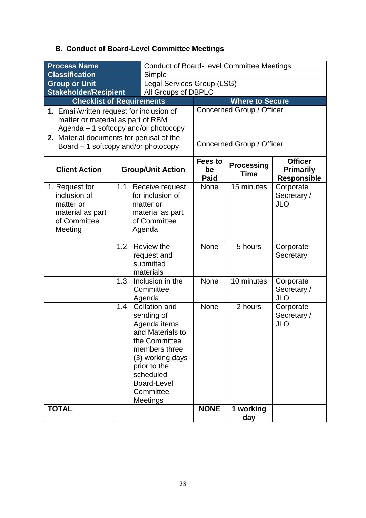# **B. Conduct of Board-Level Committee Meetings**

| <b>Process Name</b>                                                                        |                                                                                                     | <b>Conduct of Board-Level Committee Meetings</b>                                                                                                                                                  |                   |                                  |                                        |  |
|--------------------------------------------------------------------------------------------|-----------------------------------------------------------------------------------------------------|---------------------------------------------------------------------------------------------------------------------------------------------------------------------------------------------------|-------------------|----------------------------------|----------------------------------------|--|
| <b>Classification</b><br>Simple                                                            |                                                                                                     |                                                                                                                                                                                                   |                   |                                  |                                        |  |
| <b>Group or Unit</b><br>Legal Services Group (LSG)                                         |                                                                                                     |                                                                                                                                                                                                   |                   |                                  |                                        |  |
| <b>Stakeholder/Recipient</b>                                                               |                                                                                                     | All Groups of DBPLC                                                                                                                                                                               |                   |                                  |                                        |  |
| <b>Checklist of Requirements</b>                                                           |                                                                                                     |                                                                                                                                                                                                   |                   | <b>Where to Secure</b>           |                                        |  |
| 1. Email/written request for inclusion of                                                  |                                                                                                     |                                                                                                                                                                                                   |                   | Concerned Group / Officer        |                                        |  |
| matter or material as part of RBM                                                          |                                                                                                     |                                                                                                                                                                                                   |                   |                                  |                                        |  |
| Agenda $-1$ softcopy and/or photocopy                                                      |                                                                                                     |                                                                                                                                                                                                   |                   |                                  |                                        |  |
| 2. Material documents for perusal of the                                                   |                                                                                                     |                                                                                                                                                                                                   |                   |                                  |                                        |  |
| Board $-1$ softcopy and/or photocopy                                                       |                                                                                                     |                                                                                                                                                                                                   |                   | Concerned Group / Officer        |                                        |  |
|                                                                                            |                                                                                                     |                                                                                                                                                                                                   | <b>Fees to</b>    |                                  | <b>Officer</b>                         |  |
| <b>Client Action</b>                                                                       |                                                                                                     | <b>Group/Unit Action</b>                                                                                                                                                                          | be<br><b>Paid</b> | <b>Processing</b><br><b>Time</b> | <b>Primarily</b><br><b>Responsible</b> |  |
| 1. Request for<br>inclusion of<br>matter or<br>material as part<br>of Committee<br>Meeting | 1.1. Receive request<br>for inclusion of<br>matter or<br>material as part<br>of Committee<br>Agenda |                                                                                                                                                                                                   | <b>None</b>       | 15 minutes                       | Corporate<br>Secretary /<br><b>JLO</b> |  |
|                                                                                            |                                                                                                     | 1.2. Review the<br>request and<br>submitted<br>materials                                                                                                                                          | None              | 5 hours                          | Corporate<br>Secretary                 |  |
|                                                                                            | 1.3.                                                                                                | Inclusion in the<br>Committee<br>Agenda                                                                                                                                                           | None              | 10 minutes                       | Corporate<br>Secretary /<br><b>JLO</b> |  |
|                                                                                            | 1.4.                                                                                                | Collation and<br>sending of<br>Agenda items<br>and Materials to<br>the Committee<br>members three<br>(3) working days<br>prior to the<br>scheduled<br><b>Board-Level</b><br>Committee<br>Meetings | None              | 2 hours                          | Corporate<br>Secretary /<br><b>JLO</b> |  |
| <b>TOTAL</b>                                                                               |                                                                                                     |                                                                                                                                                                                                   | <b>NONE</b>       | 1 working<br>day                 |                                        |  |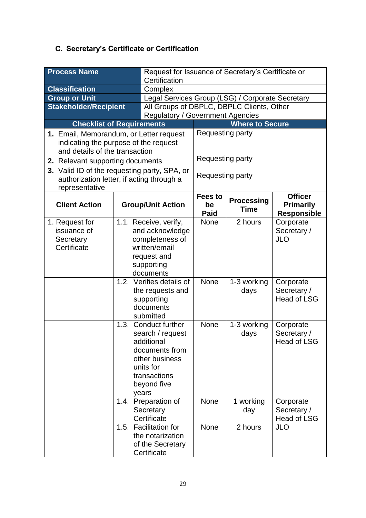# **C. Secretary's Certificate or Certification**

| <b>Process Name</b>                                                                                                                             |                                                                                                                        | Request for Issuance of Secretary's Certificate or<br>Certification                                                                        |                                                  |                                  |                                                          |  |  |
|-------------------------------------------------------------------------------------------------------------------------------------------------|------------------------------------------------------------------------------------------------------------------------|--------------------------------------------------------------------------------------------------------------------------------------------|--------------------------------------------------|----------------------------------|----------------------------------------------------------|--|--|
| <b>Classification</b>                                                                                                                           |                                                                                                                        | Complex                                                                                                                                    |                                                  |                                  |                                                          |  |  |
| <b>Group or Unit</b>                                                                                                                            |                                                                                                                        |                                                                                                                                            | Legal Services Group (LSG) / Corporate Secretary |                                  |                                                          |  |  |
| <b>Stakeholder/Recipient</b>                                                                                                                    |                                                                                                                        | All Groups of DBPLC, DBPLC Clients, Other                                                                                                  |                                                  |                                  |                                                          |  |  |
|                                                                                                                                                 |                                                                                                                        | <b>Regulatory / Government Agencies</b>                                                                                                    |                                                  |                                  |                                                          |  |  |
| <b>Checklist of Requirements</b>                                                                                                                |                                                                                                                        |                                                                                                                                            |                                                  | <b>Where to Secure</b>           |                                                          |  |  |
| 1. Email, Memorandum, or Letter request<br>indicating the purpose of the request<br>and details of the transaction                              |                                                                                                                        |                                                                                                                                            | Requesting party                                 |                                  |                                                          |  |  |
| 2. Relevant supporting documents<br>3. Valid ID of the requesting party, SPA, or<br>authorization letter, if acting through a<br>representative |                                                                                                                        |                                                                                                                                            | Requesting party<br>Requesting party             |                                  |                                                          |  |  |
| <b>Client Action</b>                                                                                                                            |                                                                                                                        | <b>Group/Unit Action</b>                                                                                                                   | Fees to<br>be<br><b>Paid</b>                     | <b>Processing</b><br><b>Time</b> | <b>Officer</b><br><b>Primarily</b><br><b>Responsible</b> |  |  |
| 1. Request for<br>issuance of<br>Secretary<br>Certificate                                                                                       | 1.1. Receive, verify,<br>and acknowledge<br>completeness of<br>written/email<br>request and<br>supporting<br>documents |                                                                                                                                            | <b>None</b>                                      | 2 hours                          | Corporate<br>Secretary /<br><b>JLO</b>                   |  |  |
|                                                                                                                                                 | 1.2. Verifies details of<br>the requests and<br>supporting<br>documents<br>submitted                                   |                                                                                                                                            | <b>None</b>                                      | 1-3 working<br>days              | Corporate<br>Secretary /<br><b>Head of LSG</b>           |  |  |
|                                                                                                                                                 | 1.3.                                                                                                                   | Conduct further<br>search / request<br>additional<br>documents from<br>other business<br>units for<br>transactions<br>beyond five<br>years | None                                             | 1-3 working<br>days              | Corporate<br>Secretary /<br><b>Head of LSG</b>           |  |  |
|                                                                                                                                                 | 1.4.                                                                                                                   | Preparation of<br>Secretary<br>Certificate                                                                                                 |                                                  | 1 working<br>day                 | Corporate<br>Secretary /<br>Head of LSG                  |  |  |
|                                                                                                                                                 |                                                                                                                        | 1.5. Facilitation for<br>the notarization<br>of the Secretary<br>Certificate                                                               | None                                             | 2 hours                          | <b>JLO</b>                                               |  |  |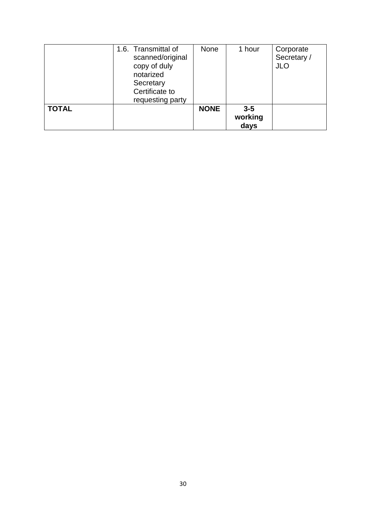|              | 1.6. Transmittal of<br>scanned/original<br>copy of duly<br>notarized<br>Secretary<br>Certificate to<br>requesting party | <b>None</b> | 1 hour                   | Corporate<br>Secretary /<br><b>JLO</b> |
|--------------|-------------------------------------------------------------------------------------------------------------------------|-------------|--------------------------|----------------------------------------|
| <b>TOTAL</b> |                                                                                                                         | <b>NONE</b> | $3-5$<br>working<br>days |                                        |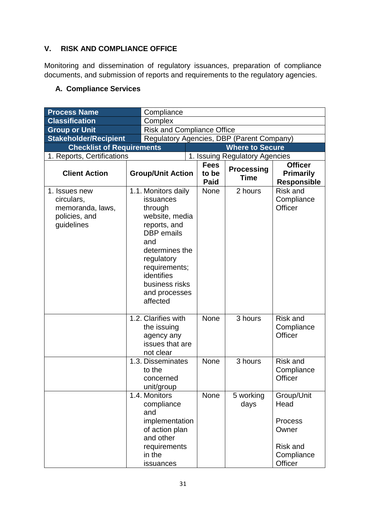### **V. RISK AND COMPLIANCE OFFICE**

Monitoring and dissemination of regulatory issuances, preparation of compliance documents, and submission of reports and requirements to the regulatory agencies.

### **A. Compliance Services**

| <b>Process Name</b>                                                            |  | Compliance                                                                                                                                                                                                              |                            |                                     |                                           |                                                                                    |  |
|--------------------------------------------------------------------------------|--|-------------------------------------------------------------------------------------------------------------------------------------------------------------------------------------------------------------------------|----------------------------|-------------------------------------|-------------------------------------------|------------------------------------------------------------------------------------|--|
| <b>Classification</b>                                                          |  | Complex                                                                                                                                                                                                                 |                            |                                     |                                           |                                                                                    |  |
| <b>Group or Unit</b>                                                           |  |                                                                                                                                                                                                                         | Risk and Compliance Office |                                     |                                           |                                                                                    |  |
| <b>Stakeholder/Recipient</b>                                                   |  |                                                                                                                                                                                                                         |                            |                                     | Regulatory Agencies, DBP (Parent Company) |                                                                                    |  |
| <b>Checklist of Requirements</b>                                               |  |                                                                                                                                                                                                                         |                            |                                     | <b>Where to Secure</b>                    |                                                                                    |  |
| 1. Reports, Certifications                                                     |  |                                                                                                                                                                                                                         |                            |                                     | 1. Issuing Regulatory Agencies            |                                                                                    |  |
| <b>Client Action</b>                                                           |  | <b>Group/Unit Action</b>                                                                                                                                                                                                |                            | <b>Fees</b><br>to be<br><b>Paid</b> | <b>Processing</b><br><b>Time</b>          | <b>Officer</b><br><b>Primarily</b><br><b>Responsible</b>                           |  |
| 1. Issues new<br>circulars,<br>memoranda, laws,<br>policies, and<br>guidelines |  | 1.1. Monitors daily<br>issuances<br>through<br>website, media<br>reports, and<br><b>DBP</b> emails<br>and<br>determines the<br>regulatory<br>requirements;<br>identifies<br>business risks<br>and processes<br>affected |                            | None                                | 2 hours                                   | <b>Risk and</b><br>Compliance<br>Officer                                           |  |
|                                                                                |  | 1.2. Clarifies with<br>the issuing<br>agency any<br>issues that are<br>not clear                                                                                                                                        |                            | <b>None</b>                         | 3 hours                                   | <b>Risk and</b><br>Compliance<br>Officer                                           |  |
|                                                                                |  | 1.3. Disseminates<br>to the<br>concerned<br>unit/group                                                                                                                                                                  |                            | None                                | 3 hours                                   | Risk and<br>Compliance<br>Officer                                                  |  |
|                                                                                |  | 1.4. Monitors<br>compliance<br>and<br>implementation<br>of action plan<br>and other<br>requirements<br>in the<br>issuances                                                                                              |                            | None                                | 5 working<br>days                         | Group/Unit<br>Head<br>Process<br>Owner<br><b>Risk and</b><br>Compliance<br>Officer |  |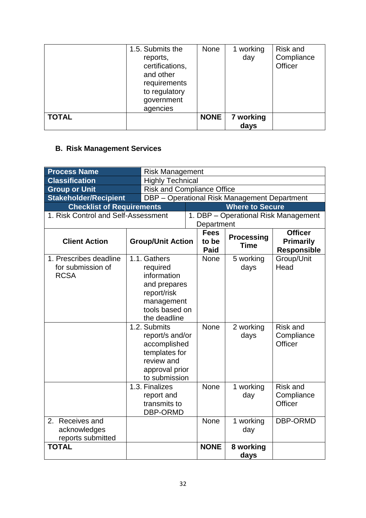|              | 1.5. Submits the<br>reports,<br>certifications,<br>and other<br>requirements<br>to regulatory<br>government<br>agencies | <b>None</b> | 1 working<br>day  | <b>Risk and</b><br>Compliance<br>Officer |
|--------------|-------------------------------------------------------------------------------------------------------------------------|-------------|-------------------|------------------------------------------|
| <b>TOTAL</b> |                                                                                                                         | <b>NONE</b> | 7 working<br>days |                                          |

# **B. Risk Management Services**

| <b>Process Name</b>                                        |                          | <b>Risk Management</b>                                                                                                 |  |                                     |                                              |                                                          |
|------------------------------------------------------------|--------------------------|------------------------------------------------------------------------------------------------------------------------|--|-------------------------------------|----------------------------------------------|----------------------------------------------------------|
| <b>Classification</b>                                      |                          | <b>Highly Technical</b>                                                                                                |  |                                     |                                              |                                                          |
| <b>Group or Unit</b>                                       |                          | <b>Risk and Compliance Office</b>                                                                                      |  |                                     |                                              |                                                          |
| <b>Stakeholder/Recipient</b>                               |                          |                                                                                                                        |  |                                     | DBP - Operational Risk Management Department |                                                          |
| <b>Checklist of Requirements</b>                           |                          |                                                                                                                        |  |                                     | <b>Where to Secure</b>                       |                                                          |
| 1. Risk Control and Self-Assessment                        |                          |                                                                                                                        |  |                                     |                                              | 1. DBP - Operational Risk Management                     |
|                                                            |                          |                                                                                                                        |  | Department                          |                                              |                                                          |
| <b>Client Action</b>                                       | <b>Group/Unit Action</b> |                                                                                                                        |  | <b>Fees</b><br>to be<br><b>Paid</b> | <b>Processing</b><br><b>Time</b>             | <b>Officer</b><br><b>Primarily</b><br><b>Responsible</b> |
| 1. Prescribes deadline<br>for submission of<br><b>RCSA</b> |                          | 1.1. Gathers<br>required<br>information<br>and prepares<br>report/risk<br>management<br>tools based on<br>the deadline |  | None                                | 5 working<br>days                            | Group/Unit<br>Head                                       |
|                                                            |                          | 1.2. Submits<br>report/s and/or<br>accomplished<br>templates for<br>review and<br>approval prior<br>to submission      |  | None                                | 2 working<br>days                            | <b>Risk and</b><br>Compliance<br>Officer                 |
|                                                            |                          | 1.3. Finalizes<br>report and<br>transmits to<br>DBP-ORMD                                                               |  | None                                | 1 working<br>day                             | Risk and<br>Compliance<br>Officer                        |
| 2.<br>Receives and<br>acknowledges<br>reports submitted    |                          |                                                                                                                        |  | None                                | 1 working<br>day                             | DBP-ORMD                                                 |
| <b>TOTAL</b>                                               |                          |                                                                                                                        |  | <b>NONE</b>                         | 8 working<br>days                            |                                                          |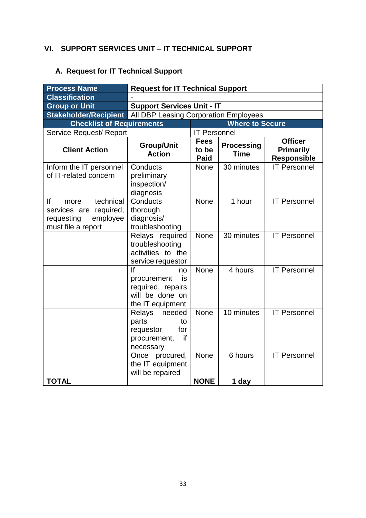### **VI. SUPPORT SERVICES UNIT – IT TECHNICAL SUPPORT**

# **A. Request for IT Technical Support**

| <b>Process Name</b>                                                                                  | <b>Request for IT Technical Support</b>                                                   |                                     |                                  |                                                          |  |  |  |
|------------------------------------------------------------------------------------------------------|-------------------------------------------------------------------------------------------|-------------------------------------|----------------------------------|----------------------------------------------------------|--|--|--|
| <b>Classification</b>                                                                                |                                                                                           |                                     |                                  |                                                          |  |  |  |
| <b>Group or Unit</b>                                                                                 | <b>Support Services Unit - IT</b>                                                         |                                     |                                  |                                                          |  |  |  |
| <b>Stakeholder/Recipient</b>                                                                         | All DBP Leasing Corporation Employees                                                     |                                     |                                  |                                                          |  |  |  |
| <b>Checklist of Requirements</b>                                                                     |                                                                                           |                                     | <b>Where to Secure</b>           |                                                          |  |  |  |
| Service Request/ Report                                                                              |                                                                                           | <b>IT Personnel</b>                 |                                  |                                                          |  |  |  |
| <b>Client Action</b>                                                                                 | Group/Unit<br><b>Action</b>                                                               | <b>Fees</b><br>to be<br><b>Paid</b> | <b>Processing</b><br><b>Time</b> | <b>Officer</b><br><b>Primarily</b><br><b>Responsible</b> |  |  |  |
| Inform the IT personnel<br>of IT-related concern                                                     | Conducts<br>preliminary<br>inspection/<br>diagnosis                                       | <b>None</b>                         | 30 minutes                       | <b>IT Personnel</b>                                      |  |  |  |
| lf<br>technical<br>more<br>services are<br>required,<br>employee<br>requesting<br>must file a report | Conducts<br>thorough<br>diagnosis/<br>troubleshooting                                     | <b>None</b>                         | 1 hour                           | <b>IT Personnel</b>                                      |  |  |  |
|                                                                                                      | Relays required<br>troubleshooting<br>activities to the<br>service requestor              | <b>None</b>                         | 30 minutes                       | <b>IT Personnel</b>                                      |  |  |  |
|                                                                                                      | If<br>no<br>procurement<br>is<br>required, repairs<br>will be done on<br>the IT equipment | <b>None</b>                         | 4 hours                          | <b>IT Personnel</b>                                      |  |  |  |
|                                                                                                      | Relays<br>needed<br>parts<br>to<br>for<br>requestor<br>if<br>procurement,<br>necessary    | None                                | 10 minutes                       | <b>IT Personnel</b>                                      |  |  |  |
|                                                                                                      | Once procured,<br>the IT equipment<br>will be repaired                                    | <b>None</b>                         | 6 hours                          | <b>IT Personnel</b>                                      |  |  |  |
| <b>TOTAL</b>                                                                                         |                                                                                           | <b>NONE</b>                         | 1 day                            |                                                          |  |  |  |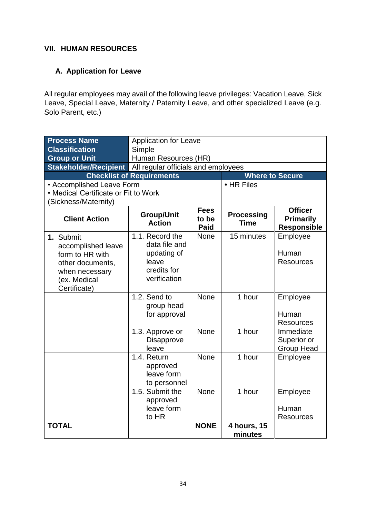#### **VII. HUMAN RESOURCES**

#### **A. Application for Leave**

All regular employees may avail of the following leave privileges: Vacation Leave, Sick Leave, Special Leave, Maternity / Paternity Leave, and other specialized Leave (e.g. Solo Parent, etc.)

| <b>Process Name</b>                                                                                                      | <b>Application for Leave</b>                                                            |                              |                                  |                                                          |  |  |  |
|--------------------------------------------------------------------------------------------------------------------------|-----------------------------------------------------------------------------------------|------------------------------|----------------------------------|----------------------------------------------------------|--|--|--|
| <b>Classification</b>                                                                                                    | Simple                                                                                  |                              |                                  |                                                          |  |  |  |
| <b>Group or Unit</b>                                                                                                     | Human Resources (HR)                                                                    |                              |                                  |                                                          |  |  |  |
| Stakeholder/Recipient All regular officials and employees                                                                |                                                                                         |                              |                                  |                                                          |  |  |  |
|                                                                                                                          | <b>Checklist of Requirements</b>                                                        |                              | <b>Where to Secure</b>           |                                                          |  |  |  |
| • Accomplished Leave Form                                                                                                |                                                                                         |                              | • HR Files                       |                                                          |  |  |  |
| • Medical Certificate or Fit to Work                                                                                     |                                                                                         |                              |                                  |                                                          |  |  |  |
| (Sickness/Maternity)                                                                                                     |                                                                                         |                              |                                  |                                                          |  |  |  |
| <b>Client Action</b>                                                                                                     | <b>Group/Unit</b><br><b>Action</b>                                                      | <b>Fees</b><br>to be<br>Paid | <b>Processing</b><br><b>Time</b> | <b>Officer</b><br><b>Primarily</b><br><b>Responsible</b> |  |  |  |
| 1. Submit<br>accomplished leave<br>form to HR with<br>other documents,<br>when necessary<br>(ex. Medical<br>Certificate) | 1.1. Record the<br>data file and<br>updating of<br>leave<br>credits for<br>verification | <b>None</b>                  | 15 minutes                       | Employee<br>Human<br><b>Resources</b>                    |  |  |  |
|                                                                                                                          | 1.2. Send to<br>group head<br>for approval                                              | <b>None</b>                  | 1 hour                           | Employee<br>Human<br><b>Resources</b>                    |  |  |  |
|                                                                                                                          | 1.3. Approve or<br><b>Disapprove</b><br>leave                                           | <b>None</b>                  | 1 hour                           | Immediate<br>Superior or<br><b>Group Head</b>            |  |  |  |
|                                                                                                                          | 1.4. Return<br>approved<br>leave form<br>to personnel                                   | None                         | 1 hour                           | Employee                                                 |  |  |  |
|                                                                                                                          | 1.5. Submit the<br>approved<br>leave form<br>to HR                                      | None                         | 1 hour                           | Employee<br>Human<br><b>Resources</b>                    |  |  |  |
| <b>TOTAL</b>                                                                                                             |                                                                                         | <b>NONE</b>                  | 4 hours, 15<br>minutes           |                                                          |  |  |  |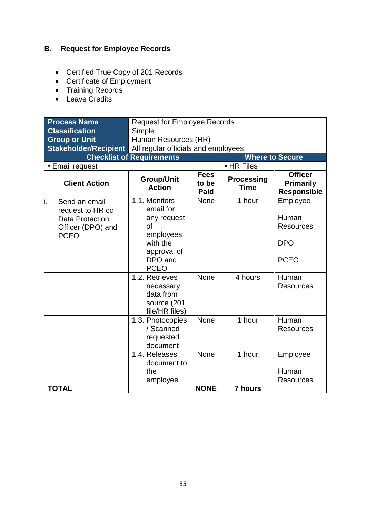# **B. Request for Employee Records**

- Certified True Copy of 201 Records
- Certificate of Employment
- Training Records
- Leave Credits

| <b>Process Name</b>                                                                             | <b>Request for Employee Records</b>                                                                                                                                          |                                     |                                  |                                                                                                 |  |  |  |
|-------------------------------------------------------------------------------------------------|------------------------------------------------------------------------------------------------------------------------------------------------------------------------------|-------------------------------------|----------------------------------|-------------------------------------------------------------------------------------------------|--|--|--|
| <b>Classification</b>                                                                           | Simple                                                                                                                                                                       |                                     |                                  |                                                                                                 |  |  |  |
| <b>Group or Unit</b>                                                                            | Human Resources (HR)                                                                                                                                                         |                                     |                                  |                                                                                                 |  |  |  |
| Stakeholder/Recipient All regular officials and employees                                       |                                                                                                                                                                              |                                     |                                  |                                                                                                 |  |  |  |
|                                                                                                 | <b>Checklist of Requirements</b>                                                                                                                                             |                                     |                                  | <b>Where to Secure</b>                                                                          |  |  |  |
| • Email request                                                                                 |                                                                                                                                                                              |                                     | • HR Files                       |                                                                                                 |  |  |  |
| <b>Client Action</b>                                                                            | <b>Group/Unit</b><br><b>Action</b>                                                                                                                                           | <b>Fees</b><br>to be<br><b>Paid</b> | <b>Processing</b><br><b>Time</b> | <b>Officer</b><br><b>Primarily</b><br><b>Responsible</b>                                        |  |  |  |
| Send an email<br>request to HR cc<br><b>Data Protection</b><br>Officer (DPO) and<br><b>PCEO</b> | 1.1. Monitors<br>email for<br>any request<br>of<br>employees<br>with the<br>approval of<br>DPO and<br><b>PCEO</b><br>1.2. Retrieves<br>necessary<br>data from<br>source (201 | <b>None</b><br><b>None</b>          | 1 hour<br>4 hours                | Employee<br>Human<br><b>Resources</b><br><b>DPO</b><br><b>PCEO</b><br>Human<br><b>Resources</b> |  |  |  |
|                                                                                                 | file/HR files)<br>1.3. Photocopies<br>/ Scanned<br>requested<br>document                                                                                                     | <b>None</b>                         | 1 hour                           | Human<br><b>Resources</b>                                                                       |  |  |  |
| <b>TOTAL</b>                                                                                    | 1.4. Releases<br>document to<br>the<br>employee                                                                                                                              | <b>None</b><br><b>NONE</b>          | 1 hour<br><b>7 hours</b>         | Employee<br>Human<br>Resources                                                                  |  |  |  |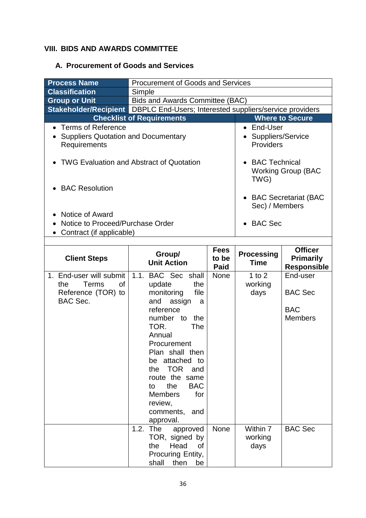### **VIII. BIDS AND AWARDS COMMITTEE**

### **A. Procurement of Goods and Services**

| <b>Process Name</b><br><b>Classification</b><br><b>Group or Unit</b><br>Stakeholder/Recipient   DBPLC End-Users; Interested suppliers/service providers<br><b>Checklist of Requirements</b><br><b>Terms of Reference</b><br>$\bullet$<br><b>Suppliers Quotation and Documentary</b><br>Requirements | <b>Procurement of Goods and Services</b><br>Bids and Awards Committee (BAC)                                                                                                                                                                                                                                                             | End-User<br>$\bullet$<br>Suppliers/Service<br>Providers  | <b>Where to Secure</b>           |                                                            |
|-----------------------------------------------------------------------------------------------------------------------------------------------------------------------------------------------------------------------------------------------------------------------------------------------------|-----------------------------------------------------------------------------------------------------------------------------------------------------------------------------------------------------------------------------------------------------------------------------------------------------------------------------------------|----------------------------------------------------------|----------------------------------|------------------------------------------------------------|
| <b>TWG Evaluation and Abstract of Quotation</b><br>• BAC Resolution<br><b>Notice of Award</b><br>Notice to Proceed/Purchase Order<br>Contract (if applicable)<br>$\bullet$                                                                                                                          | <b>BAC Technical</b><br>TWG)<br>Sec) / Members<br><b>BAC Sec</b>                                                                                                                                                                                                                                                                        | <b>Working Group (BAC</b><br><b>BAC Secretariat (BAC</b> |                                  |                                                            |
| <b>Client Steps</b>                                                                                                                                                                                                                                                                                 | Group/<br><b>Unit Action</b>                                                                                                                                                                                                                                                                                                            | <b>Fees</b><br>to be<br><b>Paid</b>                      | <b>Processing</b><br><b>Time</b> | <b>Officer</b><br><b>Primarily</b><br><b>Responsible</b>   |
| 1. End-user will submit<br>the<br>Terms<br>οf<br>Reference (TOR) to<br>BAC Sec.                                                                                                                                                                                                                     | 1.1. BAC Sec<br>shall<br>update<br>the<br>monitoring<br>file<br>assign<br>and<br>a<br>reference<br>number to<br>the<br>TOR.<br>The<br>Annual<br>Procurement<br>Plan shall then<br>be attached<br>to<br>the TOR<br>and<br>route the same<br><b>BAC</b><br>the<br>to<br><b>Members</b><br>for<br>review,<br>comments,<br>and<br>approval. | <b>None</b>                                              | 1 to $2$<br>working<br>days      | End-user<br><b>BAC Sec</b><br><b>BAC</b><br><b>Members</b> |
|                                                                                                                                                                                                                                                                                                     | 1.2.<br>The<br>approved                                                                                                                                                                                                                                                                                                                 | None                                                     | Within 7                         | <b>BAC Sec</b>                                             |

TOR, signed by the Head of Procuring Entity, shall then be

days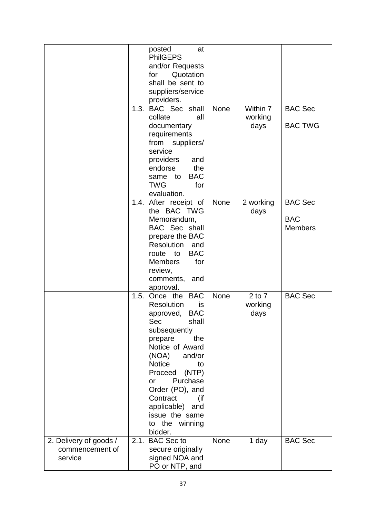|                                                      |      | posted<br>at<br><b>PhilGEPS</b><br>and/or Requests<br>Quotation<br>for<br>shall be sent to<br>suppliers/service<br>providers.                                                                                                                                                                                                  |             |                               |                                                |
|------------------------------------------------------|------|--------------------------------------------------------------------------------------------------------------------------------------------------------------------------------------------------------------------------------------------------------------------------------------------------------------------------------|-------------|-------------------------------|------------------------------------------------|
|                                                      |      | 1.3. BAC Sec shall<br>collate<br>all<br>documentary<br>requirements<br>from suppliers/<br>service<br>providers<br>and<br>endorse<br>the<br><b>BAC</b><br>to<br>same<br><b>TWG</b><br>for<br>evaluation.                                                                                                                        | <b>None</b> | Within 7<br>working<br>days   | <b>BAC Sec</b><br><b>BAC TWG</b>               |
|                                                      |      | 1.4. After receipt of<br>the BAC TWG<br>Memorandum,<br><b>BAC</b> Sec shall<br>prepare the BAC<br>Resolution<br>and<br><b>BAC</b><br>route to<br><b>Members</b><br>for<br>review,<br>comments, and<br>approval.                                                                                                                | None        | 2 working<br>days             | <b>BAC Sec</b><br><b>BAC</b><br><b>Members</b> |
|                                                      | 1.5. | Once the BAC<br>Resolution<br>is<br><b>BAC</b><br>approved,<br>Sec<br>shall<br>subsequently<br>the<br>prepare<br>Notice of Award<br>(NOA)<br>and/or<br><b>Notice</b><br>to<br>(NTP)<br>Proceed<br>Purchase<br>or<br>Order (PO), and<br>Contract<br>(if<br>applicable)<br>and<br>issue the same<br>the winning<br>to<br>bidder. | <b>None</b> | $2$ to $7$<br>working<br>days | <b>BAC Sec</b>                                 |
| 2. Delivery of goods /<br>commencement of<br>service |      | 2.1. BAC Sec to<br>secure originally<br>signed NOA and<br>PO or NTP, and                                                                                                                                                                                                                                                       | <b>None</b> | 1 day                         | <b>BAC Sec</b>                                 |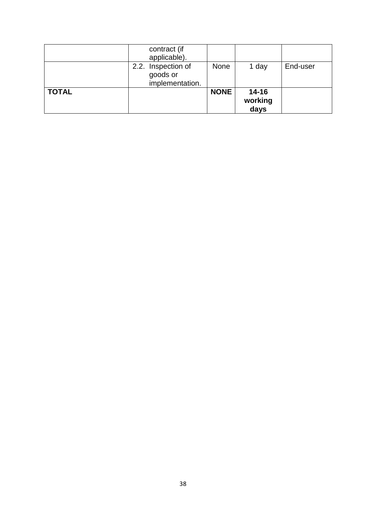|              | contract (if<br>applicable).                      |             |                              |          |
|--------------|---------------------------------------------------|-------------|------------------------------|----------|
|              | 2.2. Inspection of<br>goods or<br>implementation. | None        | 1 day                        | End-user |
| <b>TOTAL</b> |                                                   | <b>NONE</b> | $14 - 16$<br>working<br>days |          |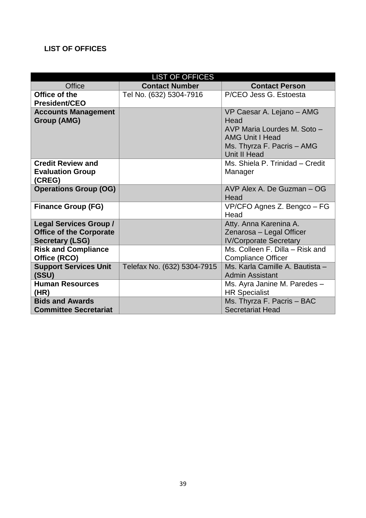### **LIST OF OFFICES**

| <b>LIST OF OFFICES</b>         |                             |                                 |  |  |  |
|--------------------------------|-----------------------------|---------------------------------|--|--|--|
| <b>Office</b>                  | <b>Contact Number</b>       | <b>Contact Person</b>           |  |  |  |
| Office of the                  | Tel No. (632) 5304-7916     | P/CEO Jess G. Estoesta          |  |  |  |
| <b>President/CEO</b>           |                             |                                 |  |  |  |
| <b>Accounts Management</b>     |                             | VP Caesar A. Lejano - AMG       |  |  |  |
| <b>Group (AMG)</b>             |                             | Head                            |  |  |  |
|                                |                             | AVP Maria Lourdes M. Soto -     |  |  |  |
|                                |                             | <b>AMG Unit I Head</b>          |  |  |  |
|                                |                             | Ms. Thyrza F. Pacris - AMG      |  |  |  |
|                                |                             | Unit II Head                    |  |  |  |
| <b>Credit Review and</b>       |                             | Ms. Shiela P. Trinidad - Credit |  |  |  |
| <b>Evaluation Group</b>        |                             | Manager                         |  |  |  |
| (CREG)                         |                             | AVP Alex A. De Guzman - OG      |  |  |  |
| <b>Operations Group (OG)</b>   |                             | Head                            |  |  |  |
| <b>Finance Group (FG)</b>      |                             | VP/CFO Agnes Z. Bengco - FG     |  |  |  |
|                                |                             | Head                            |  |  |  |
| <b>Legal Services Group /</b>  |                             | Atty. Anna Karenina A.          |  |  |  |
| <b>Office of the Corporate</b> |                             | Zenarosa - Legal Officer        |  |  |  |
| <b>Secretary (LSG)</b>         |                             | <b>IV/Corporate Secretary</b>   |  |  |  |
| <b>Risk and Compliance</b>     |                             | Ms. Colleen F. Dilla – Risk and |  |  |  |
| Office (RCO)                   |                             | <b>Compliance Officer</b>       |  |  |  |
| <b>Support Services Unit</b>   | Telefax No. (632) 5304-7915 | Ms. Karla Camille A. Bautista - |  |  |  |
| (SSU)                          |                             | <b>Admin Assistant</b>          |  |  |  |
| <b>Human Resources</b>         |                             | Ms. Ayra Janine M. Paredes -    |  |  |  |
| (HR)                           |                             | <b>HR Specialist</b>            |  |  |  |
| <b>Bids and Awards</b>         |                             | Ms. Thyrza F. Pacris - BAC      |  |  |  |
| <b>Committee Secretariat</b>   |                             | <b>Secretariat Head</b>         |  |  |  |